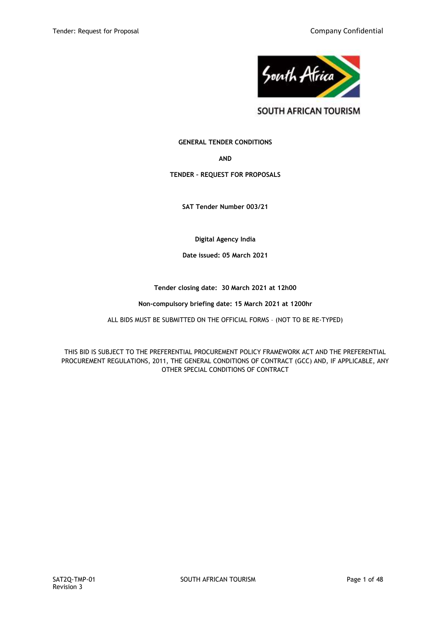

SOUTH AFRICAN TOURISM

# **GENERAL TENDER CONDITIONS**

**AND**

# **TENDER – REQUEST FOR PROPOSALS**

**SAT Tender Number 003/21**

**Digital Agency India**

**Date issued: 05 March 2021**

# **Tender closing date: 30 March 2021 at 12h00**

# **Non-compulsory briefing date: 15 March 2021 at 1200hr**

ALL BIDS MUST BE SUBMITTED ON THE OFFICIAL FORMS – (NOT TO BE RE-TYPED)

THIS BID IS SUBJECT TO THE PREFERENTIAL PROCUREMENT POLICY FRAMEWORK ACT AND THE PREFERENTIAL PROCUREMENT REGULATIONS, 2011, THE GENERAL CONDITIONS OF CONTRACT (GCC) AND, IF APPLICABLE, ANY OTHER SPECIAL CONDITIONS OF CONTRACT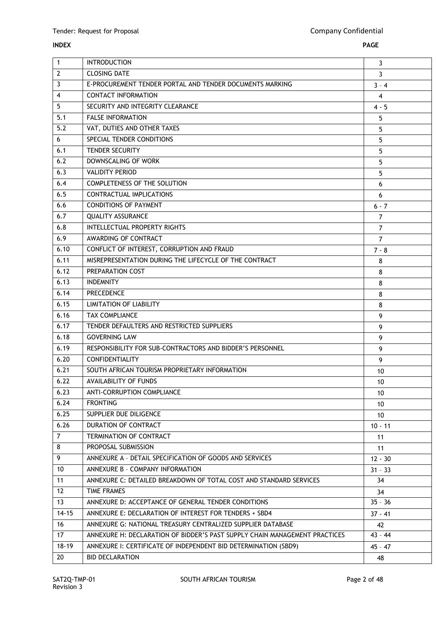| $\overline{1}$ | <b>INTRODUCTION</b>                                                        | 3               |
|----------------|----------------------------------------------------------------------------|-----------------|
| $\overline{2}$ | <b>CLOSING DATE</b>                                                        | $\overline{3}$  |
| $\overline{3}$ | E-PROCUREMENT TENDER PORTAL AND TENDER DOCUMENTS MARKING                   | $3 - 4$         |
| $\overline{4}$ | <b>CONTACT INFORMATION</b>                                                 | 4               |
| 5              | SECURITY AND INTEGRITY CLEARANCE                                           | $4 - 5$         |
| 5.1            | <b>FALSE INFORMATION</b>                                                   | 5               |
| 5.2            | VAT, DUTIES AND OTHER TAXES                                                | 5               |
| 6              | SPECIAL TENDER CONDITIONS                                                  | 5               |
| 6.1            | <b>TENDER SECURITY</b>                                                     | 5               |
| 6.2            | DOWNSCALING OF WORK                                                        | 5               |
| 6.3            | <b>VALIDITY PERIOD</b>                                                     | 5               |
| 6.4            | COMPLETENESS OF THE SOLUTION                                               | 6               |
| 6.5            | CONTRACTUAL IMPLICATIONS                                                   | 6               |
| 6.6            | <b>CONDITIONS OF PAYMENT</b>                                               | $6 - 7$         |
| 6.7            | <b>QUALITY ASSURANCE</b>                                                   | $\overline{7}$  |
| 6.8            | <b>INTELLECTUAL PROPERTY RIGHTS</b>                                        | $\overline{7}$  |
| 6.9            | AWARDING OF CONTRACT                                                       | $\overline{7}$  |
| 6.10           | CONFLICT OF INTEREST, CORRUPTION AND FRAUD                                 | $7 - 8$         |
| 6.11           | MISREPRESENTATION DURING THE LIFECYCLE OF THE CONTRACT                     | 8               |
| 6.12           | PREPARATION COST                                                           | 8               |
| 6.13           | <b>INDEMNITY</b>                                                           | 8               |
| 6.14           | PRECEDENCE                                                                 | 8               |
| 6.15           | <b>LIMITATION OF LIABILITY</b>                                             | 8               |
| 6.16           | <b>TAX COMPLIANCE</b>                                                      | 9               |
| 6.17           | TENDER DEFAULTERS AND RESTRICTED SUPPLIERS                                 | 9               |
| 6.18           | <b>GOVERNING LAW</b>                                                       | 9               |
| 6.19           | RESPONSIBILITY FOR SUB-CONTRACTORS AND BIDDER'S PERSONNEL                  | 9               |
| 6.20           | <b>CONFIDENTIALITY</b>                                                     | 9               |
| 6.21           | SOUTH AFRICAN TOURISM PROPRIETARY INFORMATION                              | 10              |
| 6.22           | <b>AVAILABILITY OF FUNDS</b>                                               | 10              |
| 6.23           | ANTI-CORRUPTION COMPLIANCE                                                 | 10              |
| 6.24           | <b>FRONTING</b>                                                            | 10              |
| 6.25           | SUPPLIER DUE DILIGENCE                                                     | 10 <sup>°</sup> |
| 6.26           | DURATION OF CONTRACT                                                       | $10 - 11$       |
| $\overline{7}$ | TERMINATION OF CONTRACT                                                    | 11              |
| 8              | PROPOSAL SUBMISSION                                                        | 11              |
| 9              | ANNEXURE A - DETAIL SPECIFICATION OF GOODS AND SERVICES                    | $12 - 30$       |
| 10             | ANNEXURE B - COMPANY INFORMATION                                           | $31 - 33$       |
| 11             | ANNEXURE C: DETAILED BREAKDOWN OF TOTAL COST AND STANDARD SERVICES         | 34              |
| 12             | TIME FRAMES                                                                | 34              |
| 13             | ANNEXURE D: ACCEPTANCE OF GENERAL TENDER CONDITIONS                        | $35 - 36$       |
| $14 - 15$      | ANNEXURE E: DECLARATION OF INTEREST FOR TENDERS + SBD4                     | $37 - 41$       |
| 16             | ANNEXURE G: NATIONAL TREASURY CENTRALIZED SUPPLIER DATABASE                | 42              |
| 17             | ANNEXURE H: DECLARATION OF BIDDER'S PAST SUPPLY CHAIN MANAGEMENT PRACTICES | $43 - 44$       |
| $18 - 19$      | ANNEXURE I: CERTIFICATE OF INDEPENDENT BID DETERMINATION (SBD9)            | $45 - 47$       |
| 20             | <b>BID DECLARATION</b>                                                     | 48              |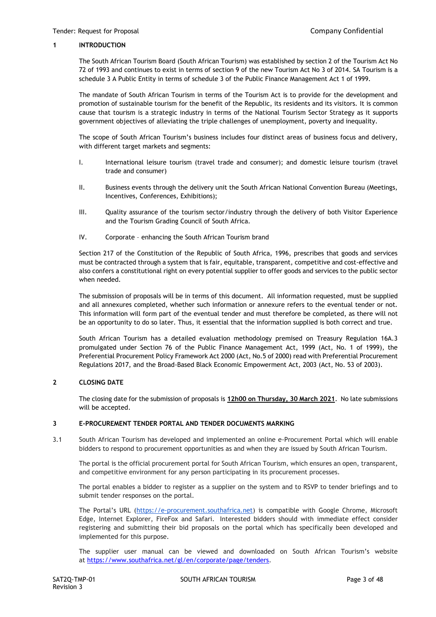#### **1 INTRODUCTION**

The South African Tourism Board (South African Tourism) was established by section 2 of the Tourism Act No 72 of 1993 and continues to exist in terms of section 9 of the new Tourism Act No 3 of 2014. SA Tourism is a schedule 3 A Public Entity in terms of schedule 3 of the Public Finance Management Act 1 of 1999.

The mandate of South African Tourism in terms of the Tourism Act is to provide for the development and promotion of sustainable tourism for the benefit of the Republic, its residents and its visitors. It is common cause that tourism is a strategic industry in terms of the National Tourism Sector Strategy as it supports government objectives of alleviating the triple challenges of unemployment, poverty and inequality.

The scope of South African Tourism's business includes four distinct areas of business focus and delivery, with different target markets and segments:

- I. International leisure tourism (travel trade and consumer); and domestic leisure tourism (travel trade and consumer)
- II. Business events through the delivery unit the South African National Convention Bureau (Meetings, Incentives, Conferences, Exhibitions);
- III. Quality assurance of the tourism sector/industry through the delivery of both Visitor Experience and the Tourism Grading Council of South Africa.
- IV. Corporate enhancing the South African Tourism brand

Section 217 of the Constitution of the Republic of South Africa, 1996, prescribes that goods and services must be contracted through a system that is fair, equitable, transparent, competitive and cost-effective and also confers a constitutional right on every potential supplier to offer goods and services to the public sector when needed.

The submission of proposals will be in terms of this document. All information requested, must be supplied and all annexures completed, whether such information or annexure refers to the eventual tender or not. This information will form part of the eventual tender and must therefore be completed, as there will not be an opportunity to do so later. Thus, it essential that the information supplied is both correct and true.

South African Tourism has a detailed evaluation methodology premised on Treasury Regulation 16A.3 promulgated under Section 76 of the Public Finance Management Act, 1999 (Act, No. 1 of 1999), the Preferential Procurement Policy Framework Act 2000 (Act, No.5 of 2000) read with Preferential Procurement Regulations 2017, and the Broad-Based Black Economic Empowerment Act, 2003 (Act, No. 53 of 2003).

# **2 CLOSING DATE**

The closing date for the submission of proposals is **12h00 on Thursday, 30 March 2021**. No late submissions will be accepted.

#### **3 E-PROCUREMENT TENDER PORTAL AND TENDER DOCUMENTS MARKING**

3.1 South African Tourism has developed and implemented an online e-Procurement Portal which will enable bidders to respond to procurement opportunities as and when they are issued by South African Tourism.

The portal is the official procurement portal for South African Tourism, which ensures an open, transparent, and competitive environment for any person participating in its procurement processes.

The portal enables a bidder to register as a supplier on the system and to RSVP to tender briefings and to submit tender responses on the portal.

The Portal's URL ([https://e-procurement.southafrica.net\)](https://e-procurement.southafrica.net/) is compatible with Google Chrome, Microsoft Edge, Internet Explorer, FireFox and Safari. Interested bidders should with immediate effect consider registering and submitting their bid proposals on the portal which has specifically been developed and implemented for this purpose.

The supplier user manual can be viewed and downloaded on South African Tourism's website at [https://www.southafrica.net/gl/en/corporate/page/tenders.](https://www.southafrica.net/gl/en/corporate/page/tenders)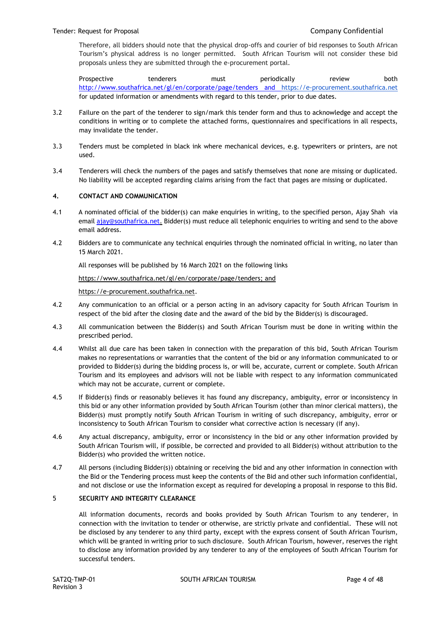Therefore, all bidders should note that the physical drop-offs and courier of bid responses to South African Tourism's physical address is no longer permitted. South African Tourism will not consider these bid proposals unless they are submitted through the e-procurement portal.

Prospective tenderers must periodically review both <http://www.southafrica.net/gl/en/corporate/page/tenders> and [https://e-procurement.southafrica.net](https://e-procurement.southafrica.net/) for updated information or amendments with regard to this tender, prior to due dates.

- 3.2 Failure on the part of the tenderer to sign/mark this tender form and thus to acknowledge and accept the conditions in writing or to complete the attached forms, questionnaires and specifications in all respects, may invalidate the tender.
- 3.3 Tenders must be completed in black ink where mechanical devices, e.g. typewriters or printers, are not used.
- 3.4 Tenderers will check the numbers of the pages and satisfy themselves that none are missing or duplicated. No liability will be accepted regarding claims arising from the fact that pages are missing or duplicated.

# **4. CONTACT AND COMMUNICATION**

- 4.1 A nominated official of the bidder(s) can make enquiries in writing, to the specified person, Ajay Shah via email [ajay@southafrica.net.](mailto:ajay@southafrica.net) Bidder(s) must reduce all telephonic enquiries to writing and send to the above email address.
- 4.2 Bidders are to communicate any technical enquiries through the nominated official in writing, no later than 15 March 2021.

All responses will be published by 16 March 2021 on the following links

[https://www.southafrica.net/gl/en/corporate/page/tenders;](https://www.southafrica.net/gl/en/corporate/page/tenders) and

[https://e-procurement.southafrica.net.](https://e-procurement.southafrica.net/)

- 4.2 Any communication to an official or a person acting in an advisory capacity for South African Tourism in respect of the bid after the closing date and the award of the bid by the Bidder(s) is discouraged.
- 4.3 All communication between the Bidder(s) and South African Tourism must be done in writing within the prescribed period.
- 4.4 Whilst all due care has been taken in connection with the preparation of this bid, South African Tourism makes no representations or warranties that the content of the bid or any information communicated to or provided to Bidder(s) during the bidding process is, or will be, accurate, current or complete. South African Tourism and its employees and advisors will not be liable with respect to any information communicated which may not be accurate, current or complete.
- 4.5 If Bidder(s) finds or reasonably believes it has found any discrepancy, ambiguity, error or inconsistency in this bid or any other information provided by South African Tourism (other than minor clerical matters), the Bidder(s) must promptly notify South African Tourism in writing of such discrepancy, ambiguity, error or inconsistency to South African Tourism to consider what corrective action is necessary (if any).
- 4.6 Any actual discrepancy, ambiguity, error or inconsistency in the bid or any other information provided by South African Tourism will, if possible, be corrected and provided to all Bidder(s) without attribution to the Bidder(s) who provided the written notice.
- 4.7 All persons (including Bidder(s)) obtaining or receiving the bid and any other information in connection with the Bid or the Tendering process must keep the contents of the Bid and other such information confidential, and not disclose or use the information except as required for developing a proposal in response to this Bid.

# 5 **SECURITY AND INTEGRITY CLEARANCE**

All information documents, records and books provided by South African Tourism to any tenderer, in connection with the invitation to tender or otherwise, are strictly private and confidential. These will not be disclosed by any tenderer to any third party, except with the express consent of South African Tourism, which will be granted in writing prior to such disclosure. South African Tourism, however, reserves the right to disclose any information provided by any tenderer to any of the employees of South African Tourism for successful tenders.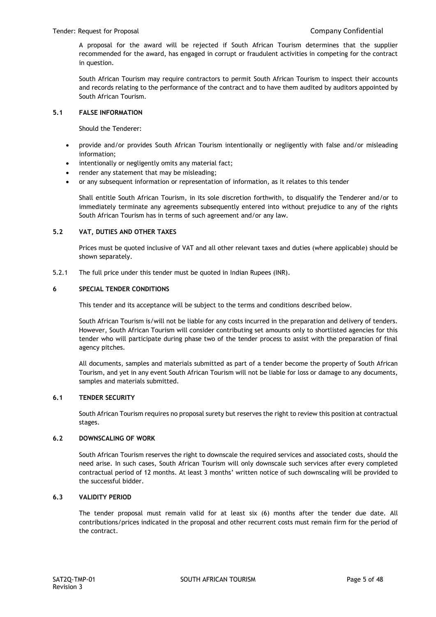A proposal for the award will be rejected if South African Tourism determines that the supplier recommended for the award, has engaged in corrupt or fraudulent activities in competing for the contract in question.

South African Tourism may require contractors to permit South African Tourism to inspect their accounts and records relating to the performance of the contract and to have them audited by auditors appointed by South African Tourism.

# **5.1 FALSE INFORMATION**

Should the Tenderer:

- provide and/or provides South African Tourism intentionally or negligently with false and/or misleading information;
- intentionally or negligently omits any material fact;
- render any statement that may be misleading;
- or any subsequent information or representation of information, as it relates to this tender

Shall entitle South African Tourism, in its sole discretion forthwith, to disqualify the Tenderer and/or to immediately terminate any agreements subsequently entered into without prejudice to any of the rights South African Tourism has in terms of such agreement and/or any law.

# **5.2 VAT, DUTIES AND OTHER TAXES**

Prices must be quoted inclusive of VAT and all other relevant taxes and duties (where applicable) should be shown separately.

5.2.1 The full price under this tender must be quoted in Indian Rupees (INR).

# **6 SPECIAL TENDER CONDITIONS**

This tender and its acceptance will be subject to the terms and conditions described below.

South African Tourism is/will not be liable for any costs incurred in the preparation and delivery of tenders. However, South African Tourism will consider contributing set amounts only to shortlisted agencies for this tender who will participate during phase two of the tender process to assist with the preparation of final agency pitches.

All documents, samples and materials submitted as part of a tender become the property of South African Tourism, and yet in any event South African Tourism will not be liable for loss or damage to any documents, samples and materials submitted.

# **6.1 TENDER SECURITY**

South African Tourism requires no proposal surety but reserves the right to review this position at contractual stages.

# **6.2 DOWNSCALING OF WORK**

South African Tourism reserves the right to downscale the required services and associated costs, should the need arise. In such cases, South African Tourism will only downscale such services after every completed contractual period of 12 months. At least 3 months' written notice of such downscaling will be provided to the successful bidder.

# **6.3 VALIDITY PERIOD**

The tender proposal must remain valid for at least six (6) months after the tender due date. All contributions/prices indicated in the proposal and other recurrent costs must remain firm for the period of the contract.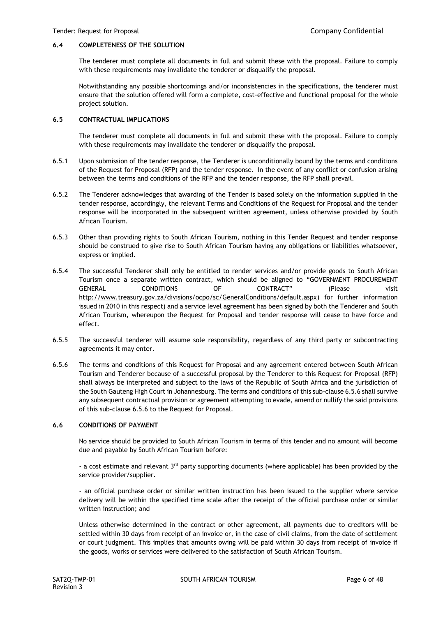## **6.4 COMPLETENESS OF THE SOLUTION**

The tenderer must complete all documents in full and submit these with the proposal. Failure to comply with these requirements may invalidate the tenderer or disqualify the proposal.

Notwithstanding any possible shortcomings and/or inconsistencies in the specifications, the tenderer must ensure that the solution offered will form a complete, cost-effective and functional proposal for the whole project solution.

#### **6.5 CONTRACTUAL IMPLICATIONS**

The tenderer must complete all documents in full and submit these with the proposal. Failure to comply with these requirements may invalidate the tenderer or disqualify the proposal.

- 6.5.1 Upon submission of the tender response, the Tenderer is unconditionally bound by the terms and conditions of the Request for Proposal (RFP) and the tender response. In the event of any conflict or confusion arising between the terms and conditions of the RFP and the tender response, the RFP shall prevail.
- 6.5.2 The Tenderer acknowledges that awarding of the Tender is based solely on the information supplied in the tender response, accordingly, the relevant Terms and Conditions of the Request for Proposal and the tender response will be incorporated in the subsequent written agreement, unless otherwise provided by South African Tourism.
- 6.5.3 Other than providing rights to South African Tourism, nothing in this Tender Request and tender response should be construed to give rise to South African Tourism having any obligations or liabilities whatsoever, express or implied.
- 6.5.4 The successful Tenderer shall only be entitled to render services and/or provide goods to South African Tourism once a separate written contract, which should be aligned to "GOVERNMENT PROCUREMENT GENERAL CONDITIONS OF CONTRACT" (Please visit [http://www.treasury.gov.za/divisions/ocpo/sc/GeneralConditions/default.aspx\)](http://www.treasury.gov.za/divisions/ocpo/sc/GeneralConditions/default.aspx) for further information issued in 2010 in this respect) and a service level agreement has been signed by both the Tenderer and South African Tourism, whereupon the Request for Proposal and tender response will cease to have force and effect.
- 6.5.5 The successful tenderer will assume sole responsibility, regardless of any third party or subcontracting agreements it may enter.
- 6.5.6 The terms and conditions of this Request for Proposal and any agreement entered between South African Tourism and Tenderer because of a successful proposal by the Tenderer to this Request for Proposal (RFP) shall always be interpreted and subject to the laws of the Republic of South Africa and the jurisdiction of the South Gauteng High Court in Johannesburg. The terms and conditions of this sub-clause 6.5.6 shall survive any subsequent contractual provision or agreement attempting to evade, amend or nullify the said provisions of this sub-clause 6.5.6 to the Request for Proposal.

#### **6.6 CONDITIONS OF PAYMENT**

No service should be provided to South African Tourism in terms of this tender and no amount will become due and payable by South African Tourism before:

- a cost estimate and relevant  $3<sup>rd</sup>$  party supporting documents (where applicable) has been provided by the service provider/supplier.

- an official purchase order or similar written instruction has been issued to the supplier where service delivery will be within the specified time scale after the receipt of the official purchase order or similar written instruction; and

Unless otherwise determined in the contract or other agreement, all payments due to creditors will be settled within 30 days from receipt of an invoice or, in the case of civil claims, from the date of settlement or court judgment. This implies that amounts owing will be paid within 30 days from receipt of invoice if the goods, works or services were delivered to the satisfaction of South African Tourism.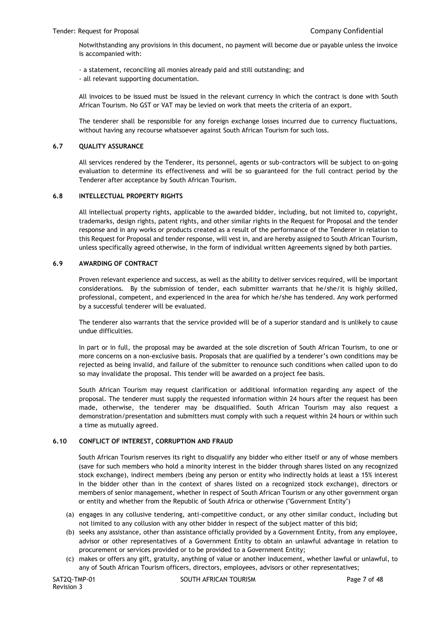Notwithstanding any provisions in this document, no payment will become due or payable unless the invoice is accompanied with:

- a statement, reconciling all monies already paid and still outstanding; and

- all relevant supporting documentation.

All invoices to be issued must be issued in the relevant currency in which the contract is done with South African Tourism. No GST or VAT may be levied on work that meets the criteria of an export.

The tenderer shall be responsible for any foreign exchange losses incurred due to currency fluctuations, without having any recourse whatsoever against South African Tourism for such loss.

#### **6.7 QUALITY ASSURANCE**

All services rendered by the Tenderer, its personnel, agents or sub-contractors will be subject to on-going evaluation to determine its effectiveness and will be so guaranteed for the full contract period by the Tenderer after acceptance by South African Tourism.

# **6.8 INTELLECTUAL PROPERTY RIGHTS**

All intellectual property rights, applicable to the awarded bidder, including, but not limited to, copyright, trademarks, design rights, patent rights, and other similar rights in the Request for Proposal and the tender response and in any works or products created as a result of the performance of the Tenderer in relation to this Request for Proposal and tender response, will vest in, and are hereby assigned to South African Tourism, unless specifically agreed otherwise, in the form of individual written Agreements signed by both parties.

#### **6.9 AWARDING OF CONTRACT**

Proven relevant experience and success, as well as the ability to deliver services required, will be important considerations. By the submission of tender, each submitter warrants that he/she/it is highly skilled, professional, competent, and experienced in the area for which he/she has tendered. Any work performed by a successful tenderer will be evaluated.

The tenderer also warrants that the service provided will be of a superior standard and is unlikely to cause undue difficulties.

In part or in full, the proposal may be awarded at the sole discretion of South African Tourism, to one or more concerns on a non-exclusive basis. Proposals that are qualified by a tenderer's own conditions may be rejected as being invalid, and failure of the submitter to renounce such conditions when called upon to do so may invalidate the proposal. This tender will be awarded on a project fee basis.

South African Tourism may request clarification or additional information regarding any aspect of the proposal. The tenderer must supply the requested information within 24 hours after the request has been made, otherwise, the tenderer may be disqualified. South African Tourism may also request a demonstration/presentation and submitters must comply with such a request within 24 hours or within such a time as mutually agreed.

#### **6.10 CONFLICT OF INTEREST, CORRUPTION AND FRAUD**

South African Tourism reserves its right to disqualify any bidder who either itself or any of whose members (save for such members who hold a minority interest in the bidder through shares listed on any recognized stock exchange), indirect members (being any person or entity who indirectly holds at least a 15% interest in the bidder other than in the context of shares listed on a recognized stock exchange), directors or members of senior management, whether in respect of South African Tourism or any other government organ or entity and whether from the Republic of South Africa or otherwise ("Government Entity")

- (a) engages in any collusive tendering, anti-competitive conduct, or any other similar conduct, including but not limited to any collusion with any other bidder in respect of the subject matter of this bid;
- (b) seeks any assistance, other than assistance officially provided by a Government Entity, from any employee, advisor or other representatives of a Government Entity to obtain an unlawful advantage in relation to procurement or services provided or to be provided to a Government Entity;
- (c) makes or offers any gift, gratuity, anything of value or another inducement, whether lawful or unlawful, to any of South African Tourism officers, directors, employees, advisors or other representatives;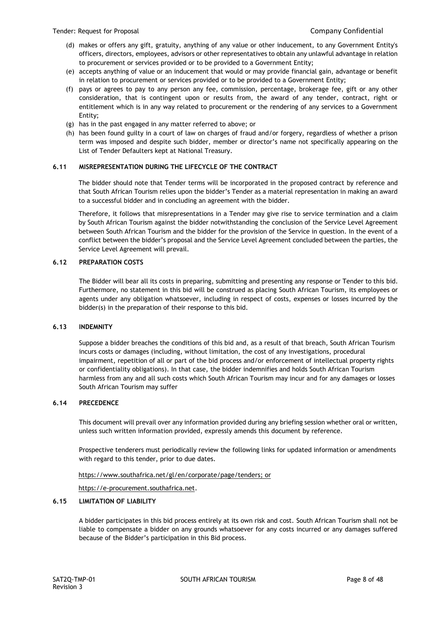- (d) makes or offers any gift, gratuity, anything of any value or other inducement, to any Government Entity's officers, directors, employees, advisors or other representatives to obtain any unlawful advantage in relation to procurement or services provided or to be provided to a Government Entity;
- (e) accepts anything of value or an inducement that would or may provide financial gain, advantage or benefit in relation to procurement or services provided or to be provided to a Government Entity;
- (f) pays or agrees to pay to any person any fee, commission, percentage, brokerage fee, gift or any other consideration, that is contingent upon or results from, the award of any tender, contract, right or entitlement which is in any way related to procurement or the rendering of any services to a Government Entity;
- (g) has in the past engaged in any matter referred to above; or
- (h) has been found guilty in a court of law on charges of fraud and/or forgery, regardless of whether a prison term was imposed and despite such bidder, member or director's name not specifically appearing on the List of Tender Defaulters kept at National Treasury.

# **6.11 MISREPRESENTATION DURING THE LIFECYCLE OF THE CONTRACT**

The bidder should note that Tender terms will be incorporated in the proposed contract by reference and that South African Tourism relies upon the bidder's Tender as a material representation in making an award to a successful bidder and in concluding an agreement with the bidder.

Therefore, it follows that misrepresentations in a Tender may give rise to service termination and a claim by South African Tourism against the bidder notwithstanding the conclusion of the Service Level Agreement between South African Tourism and the bidder for the provision of the Service in question. In the event of a conflict between the bidder's proposal and the Service Level Agreement concluded between the parties, the Service Level Agreement will prevail.

# **6.12 PREPARATION COSTS**

The Bidder will bear all its costs in preparing, submitting and presenting any response or Tender to this bid. Furthermore, no statement in this bid will be construed as placing South African Tourism, its employees or agents under any obligation whatsoever, including in respect of costs, expenses or losses incurred by the bidder(s) in the preparation of their response to this bid.

# **6.13 INDEMNITY**

Suppose a bidder breaches the conditions of this bid and, as a result of that breach, South African Tourism incurs costs or damages (including, without limitation, the cost of any investigations, procedural impairment, repetition of all or part of the bid process and/or enforcement of intellectual property rights or confidentiality obligations). In that case, the bidder indemnifies and holds South African Tourism harmless from any and all such costs which South African Tourism may incur and for any damages or losses South African Tourism may suffer

# **6.14 PRECEDENCE**

This document will prevail over any information provided during any briefing session whether oral or written, unless such written information provided, expressly amends this document by reference.

Prospective tenderers must periodically review the following links for updated information or amendments with regard to this tender, prior to due dates.

# [https://www.southafrica.net/gl/en/corporate/page/tenders;](https://www.southafrica.net/gl/en/corporate/page/tenders) or

[https://e-procurement.southafrica.net.](https://e-procurement.southafrica.net/)

# **6.15 LIMITATION OF LIABILITY**

A bidder participates in this bid process entirely at its own risk and cost. South African Tourism shall not be liable to compensate a bidder on any grounds whatsoever for any costs incurred or any damages suffered because of the Bidder's participation in this Bid process.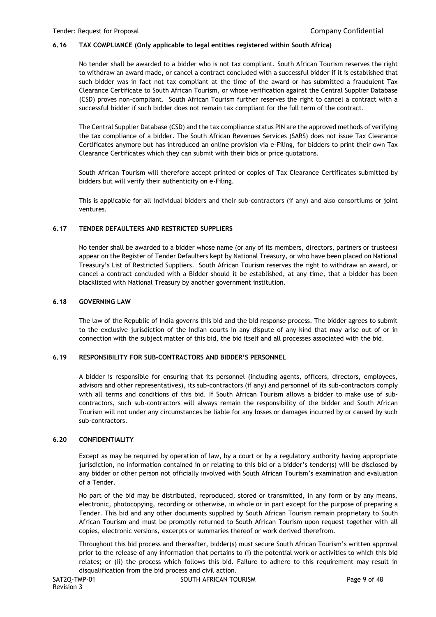# **6.16 TAX COMPLIANCE (Only applicable to legal entities registered within South Africa)**

No tender shall be awarded to a bidder who is not tax compliant. South African Tourism reserves the right to withdraw an award made, or cancel a contract concluded with a successful bidder if it is established that such bidder was in fact not tax compliant at the time of the award or has submitted a fraudulent Tax Clearance Certificate to South African Tourism, or whose verification against the Central Supplier Database (CSD) proves non-compliant. South African Tourism further reserves the right to cancel a contract with a successful bidder if such bidder does not remain tax compliant for the full term of the contract.

The Central Supplier Database (CSD) and the tax compliance status PIN are the approved methods of verifying the tax compliance of a bidder. The South African Revenues Services (SARS) does not issue Tax Clearance Certificates anymore but has introduced an online provision via e-Filing, for bidders to print their own Tax Clearance Certificates which they can submit with their bids or price quotations.

South African Tourism will therefore accept printed or copies of Tax Clearance Certificates submitted by bidders but will verify their authenticity on e-Filing.

This is applicable for all individual bidders and their sub-contractors (if any) and also consortiums or joint ventures.

# **6.17 TENDER DEFAULTERS AND RESTRICTED SUPPLIERS**

No tender shall be awarded to a bidder whose name (or any of its members, directors, partners or trustees) appear on the Register of Tender Defaulters kept by National Treasury, or who have been placed on National Treasury's List of Restricted Suppliers. South African Tourism reserves the right to withdraw an award, or cancel a contract concluded with a Bidder should it be established, at any time, that a bidder has been blacklisted with National Treasury by another government institution.

# **6.18 GOVERNING LAW**

The law of the Republic of India governs this bid and the bid response process. The bidder agrees to submit to the exclusive jurisdiction of the Indian courts in any dispute of any kind that may arise out of or in connection with the subject matter of this bid, the bid itself and all processes associated with the bid.

# **6.19 RESPONSIBILITY FOR SUB-CONTRACTORS AND BIDDER'S PERSONNEL**

A bidder is responsible for ensuring that its personnel (including agents, officers, directors, employees, advisors and other representatives), its sub-contractors (if any) and personnel of its sub-contractors comply with all terms and conditions of this bid. If South African Tourism allows a bidder to make use of subcontractors, such sub-contractors will always remain the responsibility of the bidder and South African Tourism will not under any circumstances be liable for any losses or damages incurred by or caused by such sub-contractors.

# **6.20 CONFIDENTIALITY**

Except as may be required by operation of law, by a court or by a regulatory authority having appropriate jurisdiction, no information contained in or relating to this bid or a bidder's tender(s) will be disclosed by any bidder or other person not officially involved with South African Tourism's examination and evaluation of a Tender.

No part of the bid may be distributed, reproduced, stored or transmitted, in any form or by any means, electronic, photocopying, recording or otherwise, in whole or in part except for the purpose of preparing a Tender. This bid and any other documents supplied by South African Tourism remain proprietary to South African Tourism and must be promptly returned to South African Tourism upon request together with all copies, electronic versions, excerpts or summaries thereof or work derived therefrom.

Throughout this bid process and thereafter, bidder(s) must secure South African Tourism's written approval prior to the release of any information that pertains to (i) the potential work or activities to which this bid relates; or (ii) the process which follows this bid. Failure to adhere to this requirement may result in disqualification from the bid process and civil action.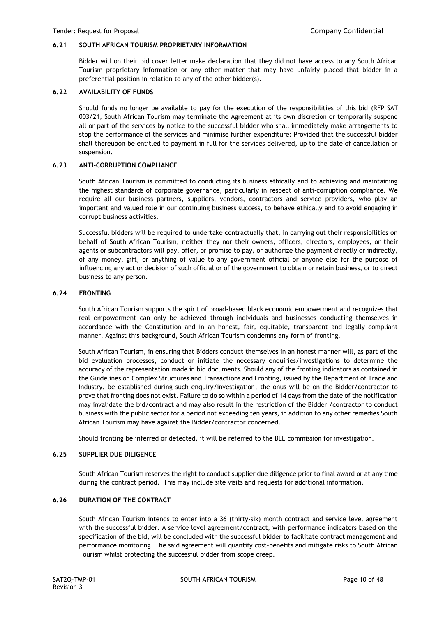#### **6.21 SOUTH AFRICAN TOURISM PROPRIETARY INFORMATION**

Bidder will on their bid cover letter make declaration that they did not have access to any South African Tourism proprietary information or any other matter that may have unfairly placed that bidder in a preferential position in relation to any of the other bidder(s).

# **6.22 AVAILABILITY OF FUNDS**

Should funds no longer be available to pay for the execution of the responsibilities of this bid (RFP SAT 003/21, South African Tourism may terminate the Agreement at its own discretion or temporarily suspend all or part of the services by notice to the successful bidder who shall immediately make arrangements to stop the performance of the services and minimise further expenditure: Provided that the successful bidder shall thereupon be entitled to payment in full for the services delivered, up to the date of cancellation or suspension.

#### **6.23 ANTI-CORRUPTION COMPLIANCE**

South African Tourism is committed to conducting its business ethically and to achieving and maintaining the highest standards of corporate governance, particularly in respect of anti-corruption compliance. We require all our business partners, suppliers, vendors, contractors and service providers, who play an important and valued role in our continuing business success, to behave ethically and to avoid engaging in corrupt business activities.

Successful bidders will be required to undertake contractually that, in carrying out their responsibilities on behalf of South African Tourism, neither they nor their owners, officers, directors, employees, or their agents or subcontractors will pay, offer, or promise to pay, or authorize the payment directly or indirectly, of any money, gift, or anything of value to any government official or anyone else for the purpose of influencing any act or decision of such official or of the government to obtain or retain business, or to direct business to any person.

# **6.24 FRONTING**

South African Tourism supports the spirit of broad-based black economic empowerment and recognizes that real empowerment can only be achieved through individuals and businesses conducting themselves in accordance with the Constitution and in an honest, fair, equitable, transparent and legally compliant manner. Against this background, South African Tourism condemns any form of fronting.

South African Tourism, in ensuring that Bidders conduct themselves in an honest manner will, as part of the bid evaluation processes, conduct or initiate the necessary enquiries/investigations to determine the accuracy of the representation made in bid documents. Should any of the fronting indicators as contained in the Guidelines on Complex Structures and Transactions and Fronting, issued by the Department of Trade and Industry, be established during such enquiry/investigation, the onus will be on the Bidder/contractor to prove that fronting does not exist. Failure to do so within a period of 14 days from the date of the notification may invalidate the bid/contract and may also result in the restriction of the Bidder /contractor to conduct business with the public sector for a period not exceeding ten years, in addition to any other remedies South African Tourism may have against the Bidder/contractor concerned.

Should fronting be inferred or detected, it will be referred to the BEE commission for investigation.

#### **6.25 SUPPLIER DUE DILIGENCE**

South African Tourism reserves the right to conduct supplier due diligence prior to final award or at any time during the contract period. This may include site visits and requests for additional information.

#### **6.26 DURATION OF THE CONTRACT**

South African Tourism intends to enter into a 36 (thirty-six) month contract and service level agreement with the successful bidder. A service level agreement/contract, with performance indicators based on the specification of the bid, will be concluded with the successful bidder to facilitate contract management and performance monitoring. The said agreement will quantify cost-benefits and mitigate risks to South African Tourism whilst protecting the successful bidder from scope creep.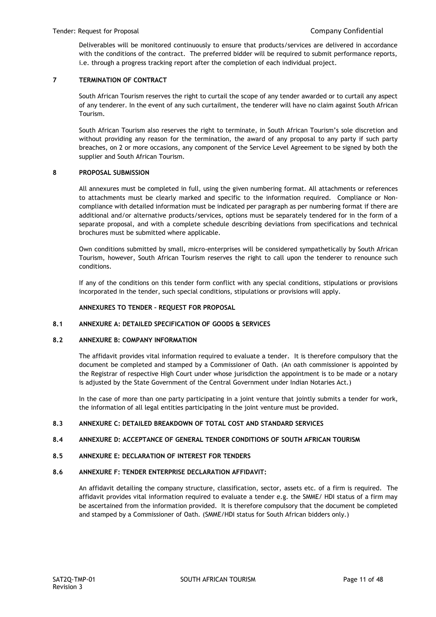Deliverables will be monitored continuously to ensure that products/services are delivered in accordance with the conditions of the contract. The preferred bidder will be required to submit performance reports, i.e. through a progress tracking report after the completion of each individual project.

# **7 TERMINATION OF CONTRACT**

South African Tourism reserves the right to curtail the scope of any tender awarded or to curtail any aspect of any tenderer. In the event of any such curtailment, the tenderer will have no claim against South African Tourism.

South African Tourism also reserves the right to terminate, in South African Tourism's sole discretion and without providing any reason for the termination, the award of any proposal to any party if such party breaches, on 2 or more occasions, any component of the Service Level Agreement to be signed by both the supplier and South African Tourism.

#### **8 PROPOSAL SUBMISSION**

All annexures must be completed in full, using the given numbering format. All attachments or references to attachments must be clearly marked and specific to the information required. Compliance or Noncompliance with detailed information must be indicated per paragraph as per numbering format if there are additional and/or alternative products/services, options must be separately tendered for in the form of a separate proposal, and with a complete schedule describing deviations from specifications and technical brochures must be submitted where applicable.

Own conditions submitted by small, micro-enterprises will be considered sympathetically by South African Tourism, however, South African Tourism reserves the right to call upon the tenderer to renounce such conditions.

If any of the conditions on this tender form conflict with any special conditions, stipulations or provisions incorporated in the tender, such special conditions, stipulations or provisions will apply.

#### **ANNEXURES TO TENDER – REQUEST FOR PROPOSAL**

#### **8.1 ANNEXURE A: DETAILED SPECIFICATION OF GOODS & SERVICES**

#### **8.2 ANNEXURE B: COMPANY INFORMATION**

The affidavit provides vital information required to evaluate a tender. It is therefore compulsory that the document be completed and stamped by a Commissioner of Oath. (An oath commissioner is appointed by the Registrar of respective High Court under whose jurisdiction the appointment is to be made or a notary is adjusted by the State Government of the Central Government under Indian Notaries Act.)

In the case of more than one party participating in a joint venture that jointly submits a tender for work, the information of all legal entities participating in the joint venture must be provided.

#### **8.3 ANNEXURE C: DETAILED BREAKDOWN OF TOTAL COST AND STANDARD SERVICES**

#### **8.4 ANNEXURE D: ACCEPTANCE OF GENERAL TENDER CONDITIONS OF SOUTH AFRICAN TOURISM**

# **8.5 ANNEXURE E: DECLARATION OF INTEREST FOR TENDERS**

# **8.6 ANNEXURE F: TENDER ENTERPRISE DECLARATION AFFIDAVIT:**

An affidavit detailing the company structure, classification, sector, assets etc. of a firm is required. The affidavit provides vital information required to evaluate a tender e.g. the SMME/ HDI status of a firm may be ascertained from the information provided. It is therefore compulsory that the document be completed and stamped by a Commissioner of Oath. (SMME/HDI status for South African bidders only.)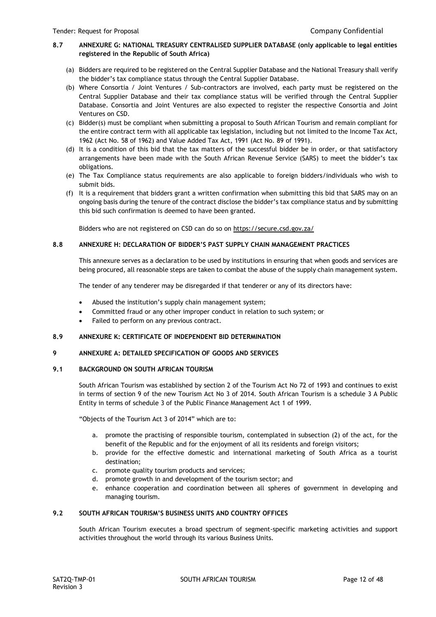# **8.7 ANNEXURE G: NATIONAL TREASURY CENTRALISED SUPPLIER DATABASE (only applicable to legal entities registered in the Republic of South Africa)**

- (a) Bidders are required to be registered on the Central Supplier Database and the National Treasury shall verify the bidder's tax compliance status through the Central Supplier Database.
- (b) Where Consortia / Joint Ventures / Sub-contractors are involved, each party must be registered on the Central Supplier Database and their tax compliance status will be verified through the Central Supplier Database. Consortia and Joint Ventures are also expected to register the respective Consortia and Joint Ventures on CSD.
- (c) Bidder(s) must be compliant when submitting a proposal to South African Tourism and remain compliant for the entire contract term with all applicable tax legislation, including but not limited to the Income Tax Act, 1962 (Act No. 58 of 1962) and Value Added Tax Act, 1991 (Act No. 89 of 1991).
- (d) It is a condition of this bid that the tax matters of the successful bidder be in order, or that satisfactory arrangements have been made with the South African Revenue Service (SARS) to meet the bidder's tax obligations.
- (e) The Tax Compliance status requirements are also applicable to foreign bidders/individuals who wish to submit bids.
- (f) It is a requirement that bidders grant a written confirmation when submitting this bid that SARS may on an ongoing basis during the tenure of the contract disclose the bidder's tax compliance status and by submitting this bid such confirmation is deemed to have been granted.

Bidders who are not registered on CSD can do so on<https://secure.csd.gov.za/>

# **8.8 ANNEXURE H: DECLARATION OF BIDDER'S PAST SUPPLY CHAIN MANAGEMENT PRACTICES**

This annexure serves as a declaration to be used by institutions in ensuring that when goods and services are being procured, all reasonable steps are taken to combat the abuse of the supply chain management system.

The tender of any tenderer may be disregarded if that tenderer or any of its directors have:

- Abused the institution's supply chain management system;
- Committed fraud or any other improper conduct in relation to such system; or
- Failed to perform on any previous contract.

# **8.9 ANNEXURE K: CERTIFICATE OF INDEPENDENT BID DETERMINATION**

# **9 ANNEXURE A: DETAILED SPECIFICATION OF GOODS AND SERVICES**

# **9.1 BACKGROUND ON SOUTH AFRICAN TOURISM**

South African Tourism was established by section 2 of the Tourism Act No 72 of 1993 and continues to exist in terms of section 9 of the new Tourism Act No 3 of 2014. South African Tourism is a schedule 3 A Public Entity in terms of schedule 3 of the Public Finance Management Act 1 of 1999.

"Objects of the Tourism Act 3 of 2014" which are to:

- a. promote the practising of responsible tourism, contemplated in subsection (2) of the act, for the benefit of the Republic and for the enjoyment of all its residents and foreign visitors;
- b. provide for the effective domestic and international marketing of South Africa as a tourist destination;
- c. promote quality tourism products and services;
- d. promote growth in and development of the tourism sector; and
- e. enhance cooperation and coordination between all spheres of government in developing and managing tourism.

# **9.2 SOUTH AFRICAN TOURISM'S BUSINESS UNITS AND COUNTRY OFFICES**

South African Tourism executes a broad spectrum of segment-specific marketing activities and support activities throughout the world through its various Business Units.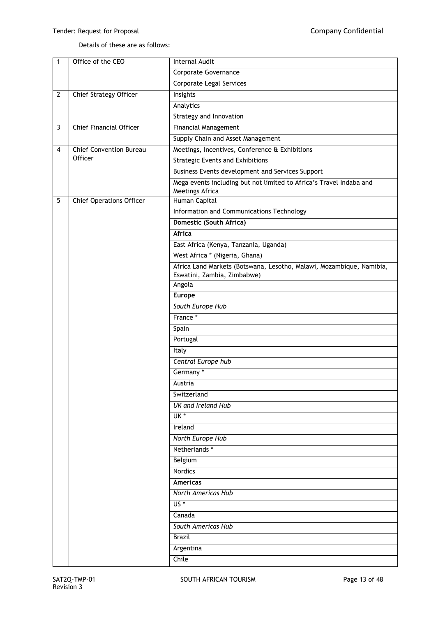# Details of these are as follows:

| 1            | Office of the CEO               | <b>Internal Audit</b>                                                |  |  |
|--------------|---------------------------------|----------------------------------------------------------------------|--|--|
|              |                                 | Corporate Governance                                                 |  |  |
|              |                                 | <b>Corporate Legal Services</b>                                      |  |  |
| $\mathbf{2}$ | <b>Chief Strategy Officer</b>   | Insights                                                             |  |  |
|              |                                 | Analytics                                                            |  |  |
|              |                                 | <b>Strategy and Innovation</b>                                       |  |  |
| 3            | <b>Chief Financial Officer</b>  | <b>Financial Management</b>                                          |  |  |
|              |                                 | Supply Chain and Asset Management                                    |  |  |
| 4            | <b>Chief Convention Bureau</b>  | Meetings, Incentives, Conference & Exhibitions                       |  |  |
|              | Officer                         | <b>Strategic Events and Exhibitions</b>                              |  |  |
|              |                                 | Business Events development and Services Support                     |  |  |
|              |                                 | Mega events including but not limited to Africa's Travel Indaba and  |  |  |
|              |                                 | Meetings Africa                                                      |  |  |
| 5            | <b>Chief Operations Officer</b> | Human Capital                                                        |  |  |
|              |                                 | Information and Communications Technology                            |  |  |
|              |                                 | Domestic (South Africa)                                              |  |  |
|              |                                 | Africa                                                               |  |  |
|              |                                 | East Africa (Kenya, Tanzania, Uganda)                                |  |  |
|              |                                 | West Africa * (Nigeria, Ghana)                                       |  |  |
|              |                                 | Africa Land Markets (Botswana, Lesotho, Malawi, Mozambique, Namibia, |  |  |
|              |                                 | Eswatini, Zambia, Zimbabwe)                                          |  |  |
|              |                                 | Angola                                                               |  |  |
|              |                                 | <b>Europe</b>                                                        |  |  |
|              |                                 | South Europe Hub                                                     |  |  |
|              |                                 | France *                                                             |  |  |
|              |                                 | Spain                                                                |  |  |
|              |                                 | Portugal                                                             |  |  |
|              |                                 | Italy                                                                |  |  |
|              |                                 | Central Europe hub                                                   |  |  |
|              |                                 | Germany <sup>*</sup>                                                 |  |  |
|              |                                 | Austria                                                              |  |  |
|              |                                 | Switzerland                                                          |  |  |
|              |                                 | <b>UK and Ireland Hub</b>                                            |  |  |
|              |                                 | UK *                                                                 |  |  |
|              |                                 | Ireland                                                              |  |  |
|              |                                 | North Europe Hub                                                     |  |  |
|              |                                 | Netherlands *                                                        |  |  |
|              |                                 | Belgium                                                              |  |  |
|              |                                 | <b>Nordics</b>                                                       |  |  |
|              |                                 | <b>Americas</b>                                                      |  |  |
|              |                                 | North Americas Hub                                                   |  |  |
|              |                                 | $US^*$                                                               |  |  |
|              |                                 | Canada                                                               |  |  |
|              |                                 | South Americas Hub                                                   |  |  |
|              |                                 |                                                                      |  |  |
|              |                                 | <b>Brazil</b>                                                        |  |  |
|              |                                 | Argentina                                                            |  |  |
|              |                                 | Chile                                                                |  |  |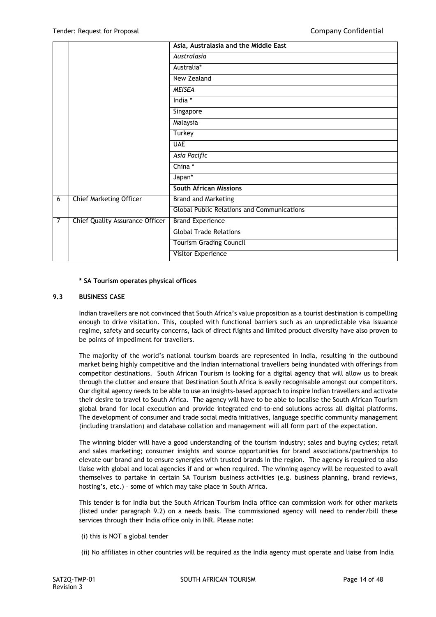|                |                                        | Asia, Australasia and the Middle East             |
|----------------|----------------------------------------|---------------------------------------------------|
|                |                                        | Australasia                                       |
|                |                                        | Australia*                                        |
|                |                                        | New Zealand                                       |
|                |                                        | <b>MEISEA</b>                                     |
|                |                                        | India *                                           |
|                |                                        | Singapore                                         |
|                |                                        | Malaysia                                          |
|                |                                        | Turkey                                            |
|                |                                        | <b>UAE</b>                                        |
|                |                                        | Asia Pacific                                      |
|                |                                        | China*                                            |
|                |                                        | Japan*                                            |
|                |                                        | <b>South African Missions</b>                     |
| 6              | <b>Chief Marketing Officer</b>         | <b>Brand and Marketing</b>                        |
|                |                                        | <b>Global Public Relations and Communications</b> |
| $\overline{7}$ | <b>Chief Quality Assurance Officer</b> | <b>Brand Experience</b>                           |
|                |                                        | <b>Global Trade Relations</b>                     |
|                |                                        | <b>Tourism Grading Council</b>                    |
|                |                                        | Visitor Experience                                |

#### **\* SA Tourism operates physical offices**

# **9.3 BUSINESS CASE**

Indian travellers are not convinced that South Africa's value proposition as a tourist destination is compelling enough to drive visitation. This, coupled with functional barriers such as an unpredictable visa issuance regime, safety and security concerns, lack of direct flights and limited product diversity have also proven to be points of impediment for travellers.

The majority of the world's national tourism boards are represented in India, resulting in the outbound market being highly competitive and the Indian international travellers being inundated with offerings from competitor destinations. South African Tourism is looking for a digital agency that will allow us to break through the clutter and ensure that Destination South Africa is easily recognisable amongst our competitors. Our digital agency needs to be able to use an insights-based approach to inspire Indian travellers and activate their desire to travel to South Africa. The agency will have to be able to localise the South African Tourism global brand for local execution and provide integrated end-to-end solutions across all digital platforms. The development of consumer and trade social media initiatives, language specific community management (including translation) and database collation and management will all form part of the expectation.

The winning bidder will have a good understanding of the tourism industry; sales and buying cycles; retail and sales marketing; consumer insights and source opportunities for brand associations/partnerships to elevate our brand and to ensure synergies with trusted brands in the region. The agency is required to also liaise with global and local agencies if and or when required. The winning agency will be requested to avail themselves to partake in certain SA Tourism business activities (e.g. business planning, brand reviews, hosting's, etc.) – some of which may take place in South Africa.

This tender is for India but the South African Tourism India office can commission work for other markets (listed under paragraph 9.2) on a needs basis. The commissioned agency will need to render/bill these services through their India office only in INR. Please note:

#### (i) this is NOT a global tender

(ii) No affiliates in other countries will be required as the India agency must operate and liaise from India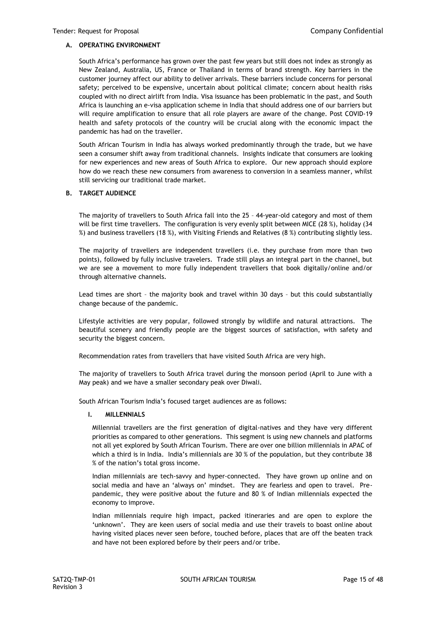# **A. OPERATING ENVIRONMENT**

South Africa's performance has grown over the past few years but still does not index as strongly as New Zealand, Australia, US, France or Thailand in terms of brand strength. Key barriers in the customer journey affect our ability to deliver arrivals. These barriers include concerns for personal safety; perceived to be expensive, uncertain about political climate; concern about health risks coupled with no direct airlift from India. Visa issuance has been problematic in the past, and South Africa is launching an e-visa application scheme in India that should address one of our barriers but will require amplification to ensure that all role players are aware of the change. Post COVID-19 health and safety protocols of the country will be crucial along with the economic impact the pandemic has had on the traveller.

South African Tourism in India has always worked predominantly through the trade, but we have seen a consumer shift away from traditional channels. Insights indicate that consumers are looking for new experiences and new areas of South Africa to explore. Our new approach should explore how do we reach these new consumers from awareness to conversion in a seamless manner, whilst still servicing our traditional trade market.

#### **B. TARGET AUDIENCE**

The majority of travellers to South Africa fall into the 25 – 44-year-old category and most of them will be first time travellers. The configuration is very evenly split between MICE (28 %), holiday (34 %) and business travellers (18 %), with Visiting Friends and Relatives (8 %) contributing slightly less.

The majority of travellers are independent travellers (i.e. they purchase from more than two points), followed by fully inclusive travelers. Trade still plays an integral part in the channel, but we are see a movement to more fully independent travellers that book digitally/online and/or through alternative channels.

Lead times are short – the majority book and travel within 30 days – but this could substantially change because of the pandemic.

Lifestyle activities are very popular, followed strongly by wildlife and natural attractions. The beautiful scenery and friendly people are the biggest sources of satisfaction, with safety and security the biggest concern.

Recommendation rates from travellers that have visited South Africa are very high.

The majority of travellers to South Africa travel during the monsoon period (April to June with a May peak) and we have a smaller secondary peak over Diwali.

South African Tourism India's focused target audiences are as follows:

# **I. MILLENNIALS**

Millennial travellers are the first generation of digital-natives and they have very different priorities as compared to other generations. This segment is using new channels and platforms not all yet explored by South African Tourism. There are over one billion millennials in APAC of which a third is in India. India's millennials are 30 % of the population, but they contribute 38 % of the nation's total gross income.

Indian millennials are tech-savvy and hyper-connected. They have grown up online and on social media and have an 'always on' mindset. They are fearless and open to travel. Prepandemic, they were positive about the future and 80 % of Indian millennials expected the economy to improve.

Indian millennials require high impact, packed itineraries and are open to explore the 'unknown'. They are keen users of social media and use their travels to boast online about having visited places never seen before, touched before, places that are off the beaten track and have not been explored before by their peers and/or tribe.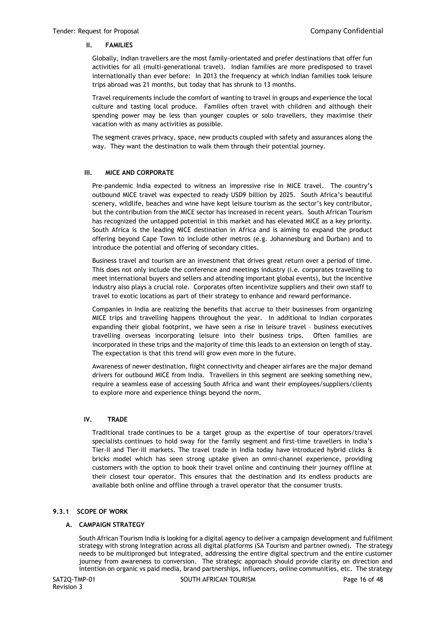#### **II. FAMILIES**

Globally, Indian travellers are the most family-orientated and prefer destinations that offer fun activities for all (multi-generational travel). Indian families are more predisposed to travel internationally than ever before: In 2013 the frequency at which Indian families took leisure trips abroad was 21 months, but today that has shrunk to 13 months.

Travel requirements include the comfort of wanting to travel in groups and experience the local culture and tasting local produce. Families often travel with children and although their spending power may be less than younger couples or solo travellers, they maximise their vacation with as many activities as possible.

The segment craves privacy, space, new products coupled with safety and assurances along the way. They want the destination to walk them through their potential journey.

#### **III. MICE AND CORPORATE**

Pre-pandemic India expected to witness an impressive rise in MICE travel. The country's outbound MICE travel was expected to ready USD9 billion by 2025. South Africa's beautiful scenery, wildlife, beaches and wine have kept leisure tourism as the sector's key contributor, but the contribution from the MICE sector has increased in recent years. South African Tourism has recognized the untapped potential in this market and has elevated MICE as a key priority. South Africa is the leading MICE destination in Africa and is aiming to expand the product offering beyond Cape Town to include other metros (e.g. Johannesburg and Durban) and to introduce the potential and offering of secondary cities.

Business travel and tourism are an investment that drives great return over a period of time. This does not only include the conference and meetings industry (i.e. corporates travelling to meet international buyers and sellers and attending important global events), but the incentive industry also plays a crucial role. Corporates often incentivize suppliers and their own staff to travel to exotic locations as part of their strategy to enhance and reward performance.

Companies in India are realizing the benefits that accrue to their businesses from organizing MICE trips and travelling happens throughout the year. In additional to Indian corporates expanding their global footprint, we have seen a rise in leisure travel – business executives travelling overseas incorporating leisure into their business trips. Often families are incorporated in these trips and the majority of time this leads to an extension on length of stay. The expectation is that this trend will grow even more in the future.

Awareness of newer destination, flight connectivity and cheaper airfares are the major demand drivers for outbound MICE from India. Travellers in this segment are seeking something new, require a seamless ease of accessing South Africa and want their employees/suppliers/clients to explore more and experience things beyond the norm.

# **IV. TRADE**

Traditional trade continues to be a target group as the expertise of tour operators/travel specialists continues to hold sway for the family segment and first-time travellers in India's Tier-II and Tier-III markets. The travel trade in India today have introduced hybrid clicks & bricks model which has seen strong uptake given an omni-channel experience, providing customers with the option to book their travel online and continuing their journey offline at their closest tour operator. This ensures that the destination and its endless products are available both online and offline through a travel operator that the consumer trusts.

# **9.3.1 SCOPE OF WORK**

# **A. CAMPAIGN STRATEGY**

South African Tourism India is looking for a digital agency to deliver a campaign development and fulfilment strategy with strong integration across all digital platforms (SA Tourism and partner owned). The strategy needs to be multipronged but integrated, addressing the entire digital spectrum and the entire customer journey from awareness to conversion. The strategic approach should provide clarity on direction and intention on organic vs paid media, brand partnerships, influencers, online communities, etc. The strategy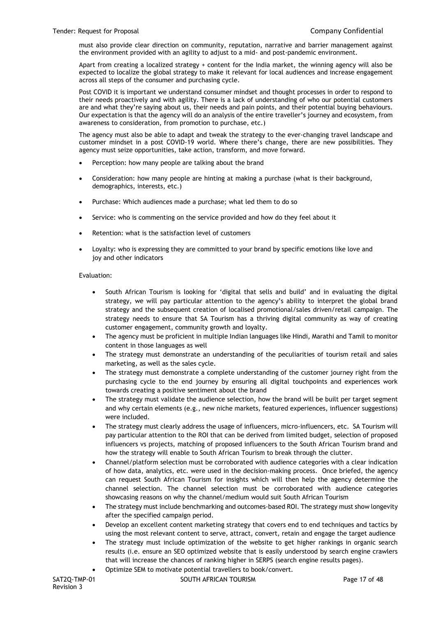must also provide clear direction on community, reputation, narrative and barrier management against the environment provided with an agility to adjust to a mid- and post-pandemic environment.

Apart from creating a localized strategy + content for the India market, the winning agency will also be expected to localize the global strategy to make it relevant for local audiences and increase engagement across all steps of the consumer and purchasing cycle.

Post COVID it is important we understand consumer mindset and thought processes in order to respond to their needs proactively and with agility. There is a lack of understanding of [who our potential customers](https://blog.infegy.com/what-do-your-customers-want-use-social-listening)  [are](https://blog.infegy.com/what-do-your-customers-want-use-social-listening) and what they're saying about us, their needs and pain points, and their potential buying behaviours. Our expectation is that the agency will do an analysis of the entire traveller's journey and ecosystem, from awareness to consideration, from promotion to purchase, etc.)

The agency must also be able to adapt and tweak the strategy to the ever-changing travel landscape and customer mindset in a post COVID-19 world. Where there's change, there are new possibilities. They agency must seize opportunities, take action, transform, and move forward.

- Perception: how many people are talking about the brand
- Consideration: how many people are hinting at making a purchase (what is their background, demographics, interests, etc.)
- Purchase: Which audiences made a purchase; what led them to do so
- Service: who is commenting on the service provided and how do they feel about it
- Retention: what is the satisfaction level of customers
- Loyalty: who is expressing they are committed to your brand by specific emotions like love and joy and other indicators

# Evaluation:

- South African Tourism is looking for 'digital that sells and build' and in evaluating the digital strategy, we will pay particular attention to the agency's ability to interpret the global brand strategy and the subsequent creation of localised promotional/sales driven/retail campaign. The strategy needs to ensure that SA Tourism has a thriving digital community as way of creating customer engagement, community growth and loyalty.
- The agency must be proficient in multiple Indian languages like Hindi, Marathi and Tamil to monitor content in those languages as well
- The strategy must demonstrate an understanding of the peculiarities of tourism retail and sales marketing, as well as the sales cycle.
- The strategy must demonstrate a complete understanding of the customer journey right from the purchasing cycle to the end journey by ensuring all digital touchpoints and experiences work towards creating a positive sentiment about the brand
- The strategy must validate the audience selection, how the brand will be built per target segment and why certain elements (e.g., new niche markets, featured experiences, influencer suggestions) were included.
- The strategy must clearly address the usage of influencers, micro-influencers, etc. SA Tourism will pay particular attention to the ROI that can be derived from limited budget, selection of proposed influencers vs projects, matching of proposed influencers to the South African Tourism brand and how the strategy will enable to South African Tourism to break through the clutter.
- Channel/platform selection must be corroborated with audience categories with a clear indication of how data, analytics, etc. were used in the decision-making process. Once briefed, the agency can request South African Tourism for insights which will then help the agency determine the channel selection. The channel selection must be corroborated with audience categories showcasing reasons on why the channel/medium would suit South African Tourism
- The strategy must include benchmarking and outcomes-based ROI. The strategy must show longevity after the specified campaign period.
- Develop an excellent content marketing strategy that covers end to end techniques and tactics by using the most relevant content to serve, attract, convert, retain and engage the target audience
- The strategy must include optimization of the website to get higher rankings in organic search results (i.e. ensure an SEO optimized website that is easily understood by search engine crawlers that will increase the chances of ranking higher in SERPS (search engine results pages).
- Optimize SEM to motivate potential travellers to book/convert.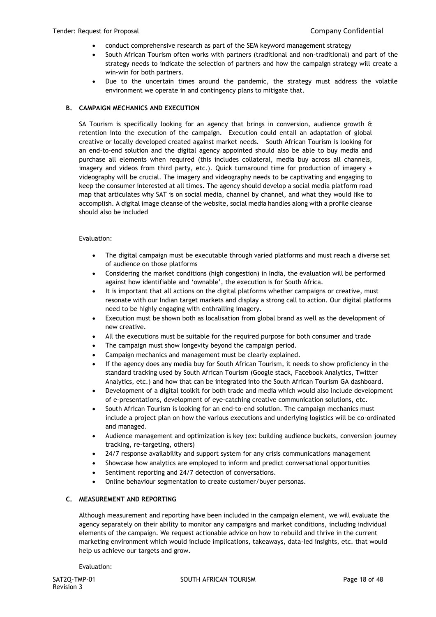- conduct comprehensive research as part of the SEM [keyword management](https://www.wordstream.com/keyword-management) strategy
- South African Tourism often works with partners (traditional and non-traditional) and part of the strategy needs to indicate the selection of partners and how the campaign strategy will create a win-win for both partners.
- Due to the uncertain times around the pandemic, the strategy must address the volatile environment we operate in and contingency plans to mitigate that.

#### **B. CAMPAIGN MECHANICS AND EXECUTION**

SA Tourism is specifically looking for an agency that brings in conversion, audience growth & retention into the execution of the campaign. Execution could entail an adaptation of global creative or locally developed created against market needs. South African Tourism is looking for an end-to-end solution and the digital agency appointed should also be able to buy media and purchase all elements when required (this includes collateral, media buy across all channels, imagery and videos from third party, etc.). Quick turnaround time for production of imagery + videography will be crucial. The imagery and videography needs to be captivating and engaging to keep the consumer interested at all times. The agency should develop a social media platform road map that articulates why SAT is on social media, channel by channel, and what they would like to accomplish. A digital image cleanse of the website, social media handles along with a profile cleanse should also be included

#### Evaluation:

- The digital campaign must be executable through varied platforms and must reach a diverse set of audience on those platforms
- Considering the market conditions (high congestion) in India, the evaluation will be performed against how identifiable and 'ownable', the execution is for South Africa.
- It is important that all actions on the digital platforms whether campaigns or creative, must resonate with our Indian target markets and display a strong call to action. Our digital platforms need to be highly engaging with enthralling imagery.
- Execution must be shown both as localisation from global brand as well as the development of new creative.
- All the executions must be suitable for the required purpose for both consumer and trade
- The campaign must show longevity beyond the campaign period.
- Campaign mechanics and management must be clearly explained.
- If the agency does any media buy for South African Tourism, it needs to show proficiency in the standard tracking used by South African Tourism (Google stack, Facebook Analytics, Twitter Analytics, etc.) and how that can be integrated into the South African Tourism GA dashboard.
- Development of a digital toolkit for both trade and media which would also include development of e-presentations, development of eye-catching creative communication solutions, etc.
- South African Tourism is looking for an end-to-end solution. The campaign mechanics must include a project plan on how the various executions and underlying logistics will be co-ordinated and managed.
- Audience management and optimization is key (ex: building audience buckets, conversion journey tracking, re-targeting, others)
- 24/7 response availability and support system for any crisis communications management
- Showcase how analytics are employed to inform and predict conversational opportunities
- Sentiment reporting and 24/7 detection of conversations.
- Online behaviour segmentation to create customer/buyer personas.

# **C. MEASUREMENT AND REPORTING**

Although measurement and reporting have been included in the campaign element, we will evaluate the agency separately on their ability to monitor any campaigns and market conditions, including individual elements of the campaign. We request actionable advice on how to rebuild and thrive in the current marketing environment which would include implications, takeaways, data-led insights, etc. that would help us achieve our targets and grow.

Evaluation: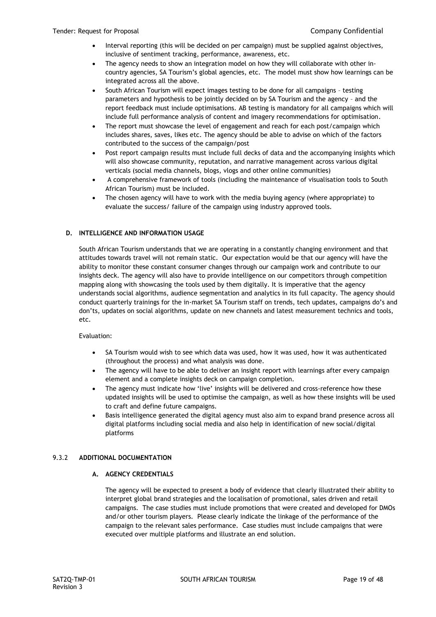- Interval reporting (this will be decided on per campaign) must be supplied against objectives, inclusive of sentiment tracking, performance, awareness, etc.
- The agency needs to show an integration model on how they will collaborate with other incountry agencies, SA Tourism's global agencies, etc. The model must show how learnings can be integrated across all the above.
- South African Tourism will expect images testing to be done for all campaigns testing parameters and hypothesis to be jointly decided on by SA Tourism and the agency – and the report feedback must include optimisations. AB testing is mandatory for all campaigns which will include full performance analysis of content and imagery recommendations for optimisation.
- The report must showcase the level of engagement and reach for each post/campaign which includes shares, saves, likes etc. The agency should be able to advise on which of the factors contributed to the success of the campaign/post
- Post report campaign results must include full decks of data and the accompanying insights which will also showcase community, reputation, and narrative management across various digital verticals (social media channels, blogs, vlogs and other online communities)
- A comprehensive framework of tools (including the maintenance of visualisation tools to South African Tourism) must be included.
- The chosen agency will have to work with the media buying agency (where appropriate) to evaluate the success/ failure of the campaign using industry approved tools.

# **D. INTELLIGENCE AND INFORMATION USAGE**

South African Tourism understands that we are operating in a constantly changing environment and that attitudes towards travel will not remain static. Our expectation would be that our agency will have the ability to monitor these constant consumer changes through our campaign work and contribute to our insights deck. The agency will also have to provide intelligence on our competitors through competition mapping along with showcasing the tools used by them digitally. It is imperative that the agency understands social algorithms, audience segmentation and analytics in its full capacity. The agency should conduct quarterly trainings for the in-market SA Tourism staff on trends, tech updates, campaigns do's and don'ts, updates on social algorithms, update on new channels and latest measurement technics and tools, etc.

# Evaluation:

- SA Tourism would wish to see which data was used, how it was used, how it was authenticated (throughout the process) and what analysis was done.
- The agency will have to be able to deliver an insight report with learnings after every campaign element and a complete insights deck on campaign completion.
- The agency must indicate how 'live' insights will be delivered and cross-reference how these updated insights will be used to optimise the campaign, as well as how these insights will be used to craft and define future campaigns.
- Basis intelligence generated the digital agency must also aim to expand brand presence across all digital platforms including social media and also help in identification of new social/digital platforms

# 9.3.2 **ADDITIONAL DOCUMENTATION**

# **A. AGENCY CREDENTIALS**

The agency will be expected to present a body of evidence that clearly illustrated their ability to interpret global brand strategies and the localisation of promotional, sales driven and retail campaigns. The case studies must include promotions that were created and developed for DMOs and/or other tourism players. Please clearly indicate the linkage of the performance of the campaign to the relevant sales performance. Case studies must include campaigns that were executed over multiple platforms and illustrate an end solution.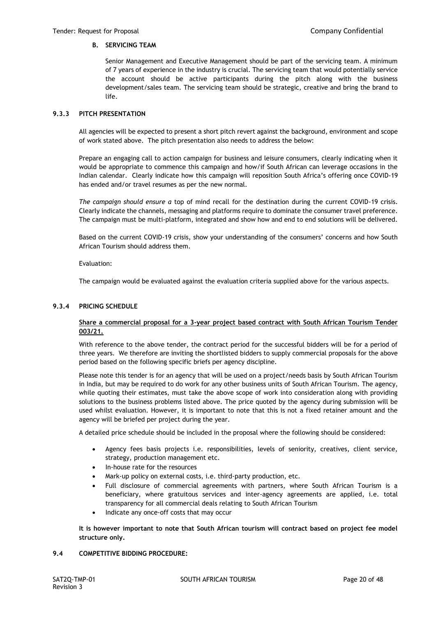# **B. SERVICING TEAM**

Senior Management and Executive Management should be part of the servicing team. A minimum of 7 years of experience in the industry is crucial. The servicing team that would potentially service the account should be active participants during the pitch along with the business development/sales team. The servicing team should be strategic, creative and bring the brand to life.

# **9.3.3 PITCH PRESENTATION**

All agencies will be expected to present a short pitch revert against the background, environment and scope of work stated above. The pitch presentation also needs to address the below:

Prepare an engaging call to action campaign for business and leisure consumers, clearly indicating when it would be appropriate to commence this campaign and how/if South African can leverage occasions in the Indian calendar. Clearly indicate how this campaign will reposition South Africa's offering once COVID-19 has ended and/or travel resumes as per the new normal.

*The campaign should ensure a* top of mind recall for the destination during the current COVID-19 crisis. Clearly indicate the channels, messaging and platforms require to dominate the consumer travel preference. The campaign must be multi-platform, integrated and show how and end to end solutions will be delivered.

Based on the current COVID-19 crisis, show your understanding of the consumers' concerns and how South African Tourism should address them.

Evaluation:

The campaign would be evaluated against the evaluation criteria supplied above for the various aspects.

# **9.3.4 PRICING SCHEDULE**

# **Share a commercial proposal for a 3-year project based contract with South African Tourism Tender 003/21.**

With reference to the above tender, the contract period for the successful bidders will be for a period of three years. We therefore are inviting the shortlisted bidders to supply commercial proposals for the above period based on the following specific briefs per agency discipline.

Please note this tender is for an agency that will be used on a project/needs basis by South African Tourism in India, but may be required to do work for any other business units of South African Tourism. The agency, while quoting their estimates, must take the above scope of work into consideration along with providing solutions to the business problems listed above. The price quoted by the agency during submission will be used whilst evaluation. However, it is important to note that this is not a fixed retainer amount and the agency will be briefed per project during the year.

A detailed price schedule should be included in the proposal where the following should be considered:

- Agency fees basis projects i.e. responsibilities, levels of seniority, creatives, client service, strategy, production management etc.
- In-house rate for the resources
- Mark-up policy on external costs, i.e. third-party production, etc.
- Full disclosure of commercial agreements with partners, where South African Tourism is a beneficiary, where gratuitous services and inter-agency agreements are applied, i.e. total transparency for all commercial deals relating to South African Tourism
- Indicate any once-off costs that may occur

**It is however important to note that South African tourism will contract based on project fee model structure only.**

# **9.4 COMPETITIVE BIDDING PROCEDURE:**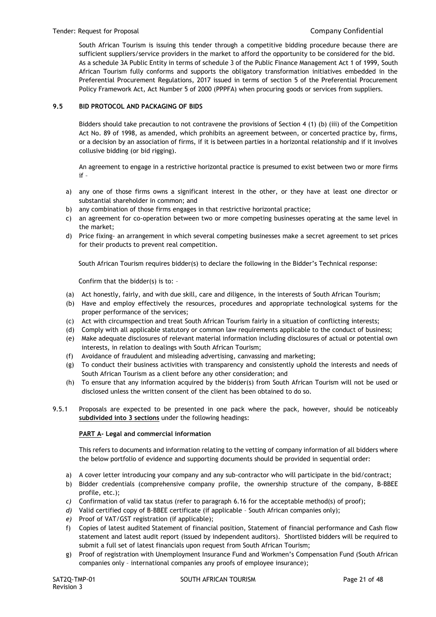#### Tender: Request for Proposal Company Confidential

South African Tourism is issuing this tender through a competitive bidding procedure because there are sufficient suppliers/service providers in the market to afford the opportunity to be considered for the bid. As a schedule 3A Public Entity in terms of schedule 3 of the Public Finance Management Act 1 of 1999, South African Tourism fully conforms and supports the obligatory transformation initiatives embedded in the Preferential Procurement Regulations, 2017 issued in terms of section 5 of the Preferential Procurement Policy Framework Act, Act Number 5 of 2000 (PPPFA) when procuring goods or services from suppliers.

#### **9.5 BID PROTOCOL AND PACKAGING OF BIDS**

Bidders should take precaution to not contravene the provisions of Section 4 (1) (b) (iii) of the Competition Act No. 89 of 1998, as amended, which prohibits an agreement between, or concerted practice by, firms, or a decision by an association of firms, if it is between parties in a horizontal relationship and if it involves collusive bidding (or bid rigging).

An agreement to engage in a restrictive horizontal practice is presumed to exist between two or more firms if –

- a) any one of those firms owns a significant interest in the other, or they have at least one director or substantial shareholder in common; and
- b) any combination of those firms engages in that restrictive horizontal practice;
- c) an agreement for co-operation between two or more competing businesses operating at the same level in the market;
- d) Price fixing- an arrangement in which several competing businesses make a secret agreement to set prices for their products to prevent real competition.

South African Tourism requires bidder(s) to declare the following in the Bidder's Technical response:

Confirm that the bidder(s) is to: –

- (a) Act honestly, fairly, and with due skill, care and diligence, in the interests of South African Tourism;
- (b) Have and employ effectively the resources, procedures and appropriate technological systems for the proper performance of the services;
- (c) Act with circumspection and treat South African Tourism fairly in a situation of conflicting interests;
- (d) Comply with all applicable statutory or common law requirements applicable to the conduct of business;
- (e) Make adequate disclosures of relevant material information including disclosures of actual or potential own interests, in relation to dealings with South African Tourism;
- (f) Avoidance of fraudulent and misleading advertising, canvassing and marketing;
- (g) To conduct their business activities with transparency and consistently uphold the interests and needs of South African Tourism as a client before any other consideration; and
- (h) To ensure that any information acquired by the bidder(s) from South African Tourism will not be used or disclosed unless the written consent of the client has been obtained to do so.
- 9.5.1 Proposals are expected to be presented in one pack where the pack, however, should be noticeably **subdivided into 3 sections** under the following headings:

#### **PART A- Legal and commercial information**

This refers to documents and information relating to the vetting of company information of all bidders where the below portfolio of evidence and supporting documents should be provided in sequential order:

- a) A cover letter introducing your company and any sub-contractor who will participate in the bid/contract;
- b) Bidder credentials (comprehensive company profile, the ownership structure of the company, B-BBEE profile, etc.);
- *c)* Confirmation of valid tax status (refer to paragraph 6.16 for the acceptable method(s) of proof);
- *d)* Valid certified copy of B-BBEE certificate (if applicable South African companies only);
- *e)* Proof of VAT/GST registration (if applicable);
- f) Copies of latest audited Statement of financial position, Statement of financial performance and Cash flow statement and latest audit report (issued by independent auditors). Shortlisted bidders will be required to submit a full set of latest financials upon request from South African Tourism;
- g) Proof of registration with Unemployment Insurance Fund and Workmen's Compensation Fund (South African companies only – international companies any proofs of employee insurance);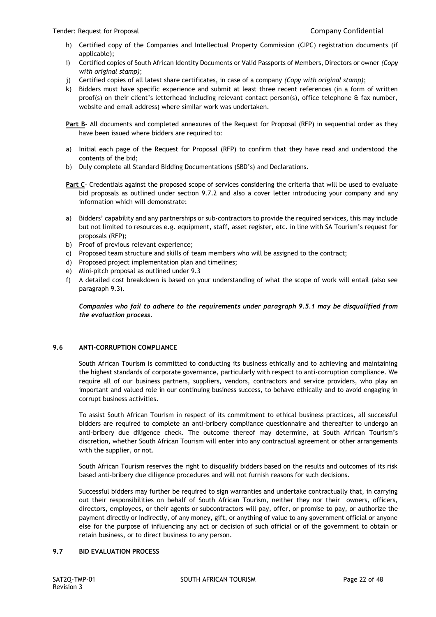- h) Certified copy of the Companies and Intellectual Property Commission (CIPC) registration documents (if applicable);
- i) Certified copies of South African Identity Documents or Valid Passports of Members, Directors or owner *(Copy with original stamp)*;
- j) Certified copies of all latest share certificates, in case of a company *(Copy with original stamp)*;
- k) Bidders must have specific experience and submit at least three recent references (in a form of written proof(s) on their client's letterhead including relevant contact person(s), office telephone & fax number, website and email address) where similar work was undertaken.
- **Part B** All documents and completed annexures of the Request for Proposal (RFP) in sequential order as they have been issued where bidders are required to:
- a) Initial each page of the Request for Proposal (RFP) to confirm that they have read and understood the contents of the bid;
- b) Duly complete all Standard Bidding Documentations (SBD's) and Declarations.
- **Part C** Credentials against the proposed scope of services considering the criteria that will be used to evaluate bid proposals as outlined under section 9.7.2 and also a cover letter introducing your company and any information which will demonstrate:
- a) Bidders' capability and any partnerships or sub-contractors to provide the required services, this may include but not limited to resources e.g. equipment, staff, asset register, etc. in line with SA Tourism's request for proposals (RFP);
- b) Proof of previous relevant experience;
- c) Proposed team structure and skills of team members who will be assigned to the contract;
- d) Proposed project implementation plan and timelines;
- e) Mini-pitch proposal as outlined under 9.3
- f) A detailed cost breakdown is based on your understanding of what the scope of work will entail (also see paragraph 9.3).

*Companies who fail to adhere to the requirements under paragraph 9.5.1 may be disqualified from the evaluation process.*

# **9.6 ANTI-CORRUPTION COMPLIANCE**

South African Tourism is committed to conducting its business ethically and to achieving and maintaining the highest standards of corporate governance, particularly with respect to anti-corruption compliance. We require all of our business partners, suppliers, vendors, contractors and service providers, who play an important and valued role in our continuing business success, to behave ethically and to avoid engaging in corrupt business activities.

To assist South African Tourism in respect of its commitment to ethical business practices, all successful bidders are required to complete an anti-bribery compliance questionnaire and thereafter to undergo an anti-bribery due diligence check. The outcome thereof may determine, at South African Tourism's discretion, whether South African Tourism will enter into any contractual agreement or other arrangements with the supplier, or not.

South African Tourism reserves the right to disqualify bidders based on the results and outcomes of its risk based anti-bribery due diligence procedures and will not furnish reasons for such decisions.

Successful bidders may further be required to sign warranties and undertake contractually that, in carrying out their responsibilities on behalf of South African Tourism, neither they nor their owners, officers, directors, employees, or their agents or subcontractors will pay, offer, or promise to pay, or authorize the payment directly or indirectly, of any money, gift, or anything of value to any government official or anyone else for the purpose of influencing any act or decision of such official or of the government to obtain or retain business, or to direct business to any person.

# **9.7 BID EVALUATION PROCESS**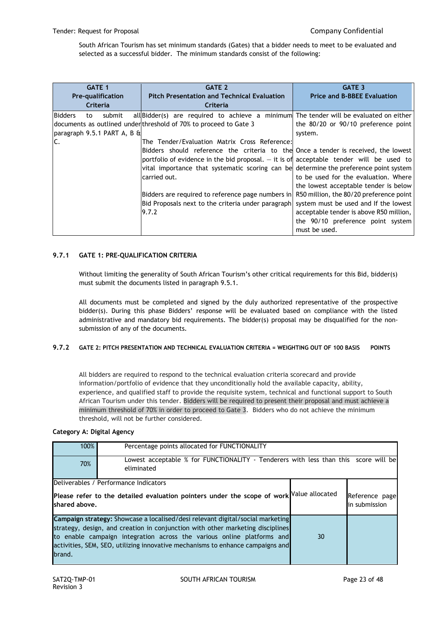South African Tourism has set minimum standards (Gates) that a bidder needs to meet to be evaluated and selected as a successful bidder. The minimum standards consist of the following:

| <b>GATE 1</b>                                                       | <b>GATE 2</b>                                                                                                                                                                                                                                                                                                                                                                                                                                                                                                                                                                                                                     | <b>GATE 3</b>                                                                                                                                                                                                                                                                                       |
|---------------------------------------------------------------------|-----------------------------------------------------------------------------------------------------------------------------------------------------------------------------------------------------------------------------------------------------------------------------------------------------------------------------------------------------------------------------------------------------------------------------------------------------------------------------------------------------------------------------------------------------------------------------------------------------------------------------------|-----------------------------------------------------------------------------------------------------------------------------------------------------------------------------------------------------------------------------------------------------------------------------------------------------|
| Pre-qualification<br>Criteria                                       | <b>Pitch Presentation and Technical Evaluation</b><br>Criteria                                                                                                                                                                                                                                                                                                                                                                                                                                                                                                                                                                    | <b>Price and B-BBEE Evaluation</b>                                                                                                                                                                                                                                                                  |
| <b>Bidders</b><br>submit<br>to<br>paragraph 9.5.1 PART A, B &<br>C. | $all\beta$ all $B$ are required to achieve a minimum The tender will be evaluated on either<br>documents as outlined under threshold of 70% to proceed to Gate 3<br>The Tender/Evaluation Matrix Cross Reference:<br>Bidders should reference the criteria to the Once a tender is received, the lowest<br>portfolio of evidence in the bid proposal. $-$ it is of acceptable tender will be used to<br>vital importance that systematic scoring can be determine the preference point system<br>carried out.<br>Bidders are required to reference page numbers in<br>Bid Proposals next to the criteria under paragraph<br>9.7.2 | the 80/20 or 90/10 preference point<br>system.<br>to be used for the evaluation. Where<br>the lowest acceptable tender is below<br>R50 million, the 80/20 preference point<br>system must be used and If the lowest<br>acceptable tender is above R50 million,<br>the 90/10 preference point system |

# **9.7.1 GATE 1: PRE-QUALIFICATION CRITERIA**

Without limiting the generality of South African Tourism's other critical requirements for this Bid, bidder(s) must submit the documents listed in paragraph 9.5.1.

All documents must be completed and signed by the duly authorized representative of the prospective bidder(s). During this phase Bidders' response will be evaluated based on compliance with the listed administrative and mandatory bid requirements. The bidder(s) proposal may be disqualified for the nonsubmission of any of the documents.

# **9.7.2 GATE 2: PITCH PRESENTATION AND TECHNICAL EVALUATION CRITERIA = WEIGHTING OUT OF 100 BASIS POINTS**

All bidders are required to respond to the technical evaluation criteria scorecard and provide information/portfolio of evidence that they unconditionally hold the available capacity, ability, experience, and qualified staff to provide the requisite system, technical and functional support to South African Tourism under this tender. Bidders will be required to present their proposal and must achieve a minimum threshold of 70% in order to proceed to Gate 3. Bidders who do not achieve the minimum threshold, will not be further considered.

# **Category A: Digital Agency**

| 100%           | Percentage points allocated for FUNCTIONALITY                                                                                                                                                                                                                                                                                |    |                                 |  |  |
|----------------|------------------------------------------------------------------------------------------------------------------------------------------------------------------------------------------------------------------------------------------------------------------------------------------------------------------------------|----|---------------------------------|--|--|
| 70%            | Lowest acceptable % for FUNCTIONALITY - Tenderers with less than this score will be<br>eliminated                                                                                                                                                                                                                            |    |                                 |  |  |
|                | Deliverables / Performance Indicators                                                                                                                                                                                                                                                                                        |    |                                 |  |  |
| Ishared above. | Please refer to the detailed evaluation pointers under the scope of work Value allocated                                                                                                                                                                                                                                     |    | Reference page<br>in submission |  |  |
| brand.         | Campaign strategy: Showcase a localised/desi relevant digital/social marketing<br>strategy, design, and creation in conjunction with other marketing disciplines<br>to enable campaign integration across the various online platforms and<br>activities, SEM, SEO, utilizing innovative mechanisms to enhance campaigns and | 30 |                                 |  |  |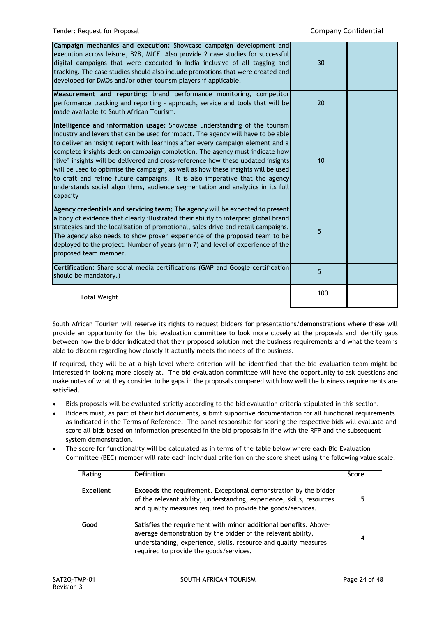| Campaign mechanics and execution: Showcase campaign development and<br>execution across leisure, B2B, MICE. Also provide 2 case studies for successful<br>digital campaigns that were executed in India inclusive of all tagging and<br>tracking. The case studies should also include promotions that were created and<br>developed for DMOs and/or other tourism players if applicable.                                                                                                                                                                                                                                                                                            | 30  |  |
|--------------------------------------------------------------------------------------------------------------------------------------------------------------------------------------------------------------------------------------------------------------------------------------------------------------------------------------------------------------------------------------------------------------------------------------------------------------------------------------------------------------------------------------------------------------------------------------------------------------------------------------------------------------------------------------|-----|--|
| Measurement and reporting: brand performance monitoring, competitor<br>performance tracking and reporting - approach, service and tools that will be<br>made available to South African Tourism.                                                                                                                                                                                                                                                                                                                                                                                                                                                                                     | 20  |  |
| Intelligence and information usage: Showcase understanding of the tourism<br>industry and levers that can be used for impact. The agency will have to be able<br>to deliver an insight report with learnings after every campaign element and a<br>complete insights deck on campaign completion. The agency must indicate how<br>'live' insights will be delivered and cross-reference how these updated insights<br>will be used to optimise the campaign, as well as how these insights will be used<br>to craft and refine future campaigns. It is also imperative that the agency<br>understands social algorithms, audience segmentation and analytics in its full<br>capacity | 10  |  |
| Agency credentials and servicing team: The agency will be expected to present<br>a body of evidence that clearly illustrated their ability to interpret global brand<br>strategies and the localisation of promotional, sales drive and retail campaigns.<br>The agency also needs to show proven experience of the proposed team to be<br>deployed to the project. Number of years (min 7) and level of experience of the<br>proposed team member.                                                                                                                                                                                                                                  | 5   |  |
| Certification: Share social media certifications (GMP and Google certification<br>should be mandatory.)                                                                                                                                                                                                                                                                                                                                                                                                                                                                                                                                                                              | 5   |  |
| <b>Total Weight</b>                                                                                                                                                                                                                                                                                                                                                                                                                                                                                                                                                                                                                                                                  | 100 |  |

South African Tourism will reserve its rights to request bidders for presentations/demonstrations where these will provide an opportunity for the bid evaluation committee to look more closely at the proposals and identify gaps between how the bidder indicated that their proposed solution met the business requirements and what the team is able to discern regarding how closely it actually meets the needs of the business.

If required, they will be at a high level where criterion will be identified that the bid evaluation team might be interested in looking more closely at. The bid evaluation committee will have the opportunity to ask questions and make notes of what they consider to be gaps in the proposals compared with how well the business requirements are satisfied.

- Bids proposals will be evaluated strictly according to the bid evaluation criteria stipulated in this section.
- Bidders must, as part of their bid documents, submit supportive documentation for all functional requirements as indicated in the Terms of Reference. The panel responsible for scoring the respective bids will evaluate and score all bids based on information presented in the bid proposals in line with the RFP and the subsequent system demonstration.
- The score for functionality will be calculated as in terms of the table below where each Bid Evaluation Committee (BEC) member will rate each individual criterion on the score sheet using the following value scale:

| Rating    | <b>Definition</b>                                                                                                                                                                                                                               | Score |
|-----------|-------------------------------------------------------------------------------------------------------------------------------------------------------------------------------------------------------------------------------------------------|-------|
| Excellent | <b>Exceeds</b> the requirement. Exceptional demonstration by the bidder<br>of the relevant ability, understanding, experience, skills, resources<br>and quality measures required to provide the goods/services.                                | 5     |
| Good      | Satisfies the requirement with minor additional benefits. Above-<br>average demonstration by the bidder of the relevant ability,<br>understanding, experience, skills, resource and quality measures<br>required to provide the goods/services. | 4     |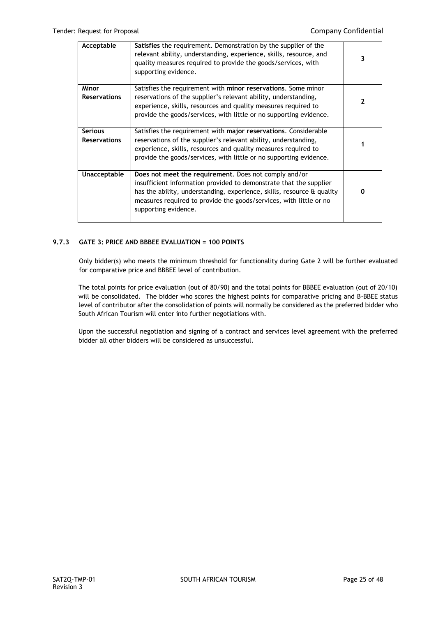| Acceptable                            | Satisfies the requirement. Demonstration by the supplier of the<br>relevant ability, understanding, experience, skills, resource, and<br>quality measures required to provide the goods/services, with<br>supporting evidence.                                                                      | 3 |
|---------------------------------------|-----------------------------------------------------------------------------------------------------------------------------------------------------------------------------------------------------------------------------------------------------------------------------------------------------|---|
| Minor<br><b>Reservations</b>          | Satisfies the requirement with minor reservations. Some minor<br>reservations of the supplier's relevant ability, understanding,<br>experience, skills, resources and quality measures required to<br>provide the goods/services, with little or no supporting evidence.                            | 2 |
| <b>Serious</b><br><b>Reservations</b> | Satisfies the requirement with major reservations. Considerable<br>reservations of the supplier's relevant ability, understanding,<br>experience, skills, resources and quality measures required to<br>provide the goods/services, with little or no supporting evidence.                          |   |
| Unacceptable                          | Does not meet the requirement. Does not comply and/or<br>insufficient information provided to demonstrate that the supplier<br>has the ability, understanding, experience, skills, resource & quality<br>measures required to provide the goods/services, with little or no<br>supporting evidence. | O |

# **9.7.3 GATE 3: PRICE AND BBBEE EVALUATION = 100 POINTS**

Only bidder(s) who meets the minimum threshold for functionality during Gate 2 will be further evaluated for comparative price and BBBEE level of contribution.

The total points for price evaluation (out of 80/90) and the total points for BBBEE evaluation (out of 20/10) will be consolidated. The bidder who scores the highest points for comparative pricing and B-BBEE status level of contributor after the consolidation of points will normally be considered as the preferred bidder who South African Tourism will enter into further negotiations with.

Upon the successful negotiation and signing of a contract and services level agreement with the preferred bidder all other bidders will be considered as unsuccessful.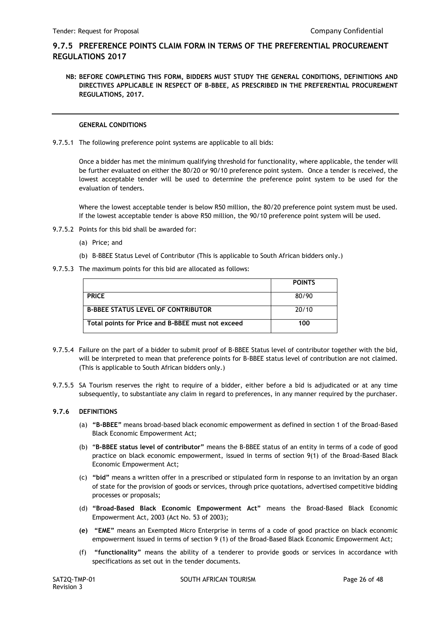# **9.7.5 PREFERENCE POINTS CLAIM FORM IN TERMS OF THE PREFERENTIAL PROCUREMENT REGULATIONS 2017**

**NB: BEFORE COMPLETING THIS FORM, BIDDERS MUST STUDY THE GENERAL CONDITIONS, DEFINITIONS AND DIRECTIVES APPLICABLE IN RESPECT OF B-BBEE, AS PRESCRIBED IN THE PREFERENTIAL PROCUREMENT REGULATIONS, 2017.** 

# **GENERAL CONDITIONS**

9.7.5.1 The following preference point systems are applicable to all bids:

Once a bidder has met the minimum qualifying threshold for functionality, where applicable, the tender will be further evaluated on either the 80/20 or 90/10 preference point system. Once a tender is received, the lowest acceptable tender will be used to determine the preference point system to be used for the evaluation of tenders.

Where the lowest acceptable tender is below R50 million, the 80/20 preference point system must be used. If the lowest acceptable tender is above R50 million, the 90/10 preference point system will be used.

- 9.7.5.2 Points for this bid shall be awarded for:
	- (a) Price; and
	- (b) B-BBEE Status Level of Contributor (This is applicable to South African bidders only.)
- 9.7.5.3 The maximum points for this bid are allocated as follows:

|                                                   | <b>POINTS</b> |
|---------------------------------------------------|---------------|
| <b>PRICE</b>                                      | 80/90         |
| <b>B-BBEE STATUS LEVEL OF CONTRIBUTOR</b>         | 20/10         |
| Total points for Price and B-BBEE must not exceed | 100           |

- 9.7.5.4 Failure on the part of a bidder to submit proof of B-BBEE Status level of contributor together with the bid, will be interpreted to mean that preference points for B-BBEE status level of contribution are not claimed. (This is applicable to South African bidders only.)
- 9.7.5.5 SA Tourism reserves the right to require of a bidder, either before a bid is adjudicated or at any time subsequently, to substantiate any claim in regard to preferences, in any manner required by the purchaser.

# **9.7.6 DEFINITIONS**

- (a) **"B-BBEE"** means broad-based black economic empowerment as defined in section 1 of the Broad-Based Black Economic Empowerment Act;
- (b) "**B-BBEE status level of contributor"** means the B-BBEE status of an entity in terms of a code of good practice on black economic empowerment, issued in terms of section 9(1) of the Broad-Based Black Economic Empowerment Act;
- (c) **"bid"** means a written offer in a prescribed or stipulated form in response to an invitation by an organ of state for the provision of goods or services, through price quotations, advertised competitive bidding processes or proposals;
- (d) **"Broad-Based Black Economic Empowerment Act"** means the Broad-Based Black Economic Empowerment Act, 2003 (Act No. 53 of 2003);
- **(e) "EME"** means an Exempted Micro Enterprise in terms of a code of good practice on black economic empowerment issued in terms of section 9 (1) of the Broad-Based Black Economic Empowerment Act;
- (f) **"functionality"** means the ability of a tenderer to provide goods or services in accordance with specifications as set out in the tender documents.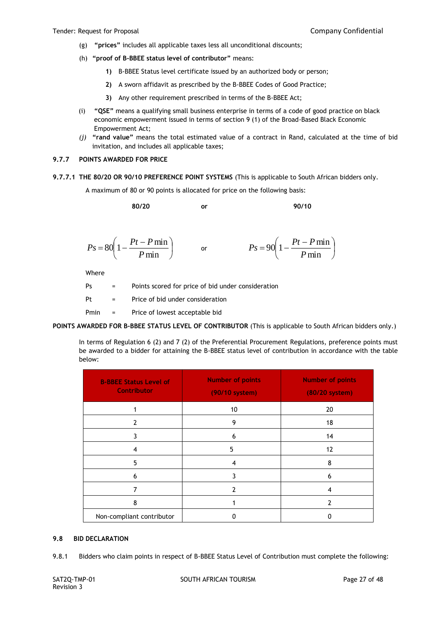- (g) **"prices"** includes all applicable taxes less all unconditional discounts;
- (h) **"proof of B-BBEE status level of contributor"** means:
	- **1)** B-BBEE Status level certificate issued by an authorized body or person;
	- **2)** A sworn affidavit as prescribed by the B-BBEE Codes of Good Practice;
	- **3)** Any other requirement prescribed in terms of the B-BBEE Act;
- (i) **"QSE"** means a qualifying small business enterprise in terms of a code of good practice on black economic empowerment issued in terms of section 9 (1) of the Broad-Based Black Economic Empowerment Act;
- *(j)* **"rand value"** means the total estimated value of a contract in Rand, calculated at the time of bid invitation, and includes all applicable taxes;

#### **9.7.7 POINTS AWARDED FOR PRICE**

**9.7.7.1 THE 80/20 OR 90/10 PREFERENCE POINT SYSTEMS** (This is applicable to South African bidders only.

A maximum of 80 or 90 points is allocated for price on the following basis:

**80/20 or 90/10**

$$
Ps = 80\left(1 - \frac{Pt - P\min P}{\min}\right) \qquad \text{or} \qquad \qquad Ps = 90\left(1 - \frac{Pt - P\min P}{\min}\right)
$$

Where

| Ps   | $=$                       | Points scored for price of bid under consideration |
|------|---------------------------|----------------------------------------------------|
| Pt   | $\mathbf{r} = \mathbf{r}$ | Price of bid under consideration                   |
| Pmin | $\alpha_{\rm{max}}=0.01$  | Price of lowest acceptable bid                     |

**POINTS AWARDED FOR B-BBEE STATUS LEVEL OF CONTRIBUTOR** (This is applicable to South African bidders only.)

In terms of Regulation 6 (2) and 7 (2) of the Preferential Procurement Regulations, preference points must be awarded to a bidder for attaining the B-BBEE status level of contribution in accordance with the table below:

| <b>B-BBEE Status Level of</b><br><b>Contributor</b> | <b>Number of points</b><br>(90/10 system) | <b>Number of points</b><br>(80/20 system) |
|-----------------------------------------------------|-------------------------------------------|-------------------------------------------|
|                                                     | 10                                        | 20                                        |
| 2                                                   | 9                                         | 18                                        |
| 3                                                   | 6                                         | 14                                        |
| 4                                                   | 5                                         | 12                                        |
| 5                                                   | 4                                         | 8                                         |
| 6                                                   | 3                                         | 6                                         |
|                                                     |                                           | 4                                         |
| 8                                                   |                                           | 2                                         |
| Non-compliant contributor                           | ŋ                                         | ŋ                                         |

#### **9.8 BID DECLARATION**

9.8.1 Bidders who claim points in respect of B-BBEE Status Level of Contribution must complete the following: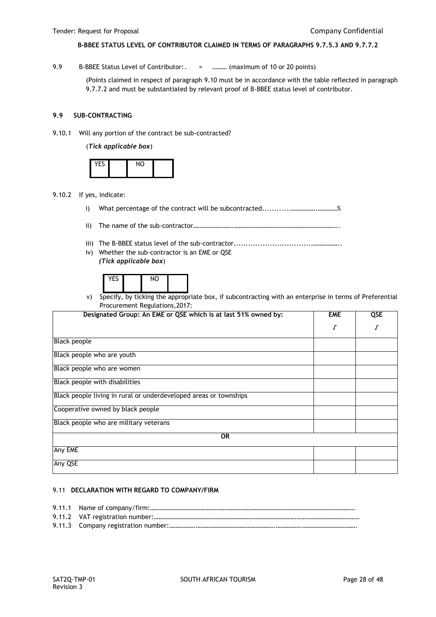#### **B-BBEE STATUS LEVEL OF CONTRIBUTOR CLAIMED IN TERMS OF PARAGRAPHS 9.7.5.3 AND 9.7.7.2**

9.9 B-BBEE Status Level of Contributor:. = .......... (maximum of 10 or 20 points)

(Points claimed in respect of paragraph 9.10 must be in accordance with the table reflected in paragraph 9.7.7.2 and must be substantiated by relevant proof of B-BBEE status level of contributor.

#### **9.9 SUB-CONTRACTING**

9.10.1 Will any portion of the contract be sub-contracted?

(*Tick applicable box*)

| $10 - c$ | $\overline{M}$ |  |
|----------|----------------|--|
|          |                |  |

- 9.10.2 If yes, indicate:
	- i) What percentage of the contract will be subcontracted............…………….…………%
	- ii) The name of the sub-contractor…………………….………………………………………………………..
	- iii) The B-BBEE status level of the sub-contractor.................................……………..
	- iv) Whether the sub-contractor is an EME or QSE *(Tick applicable box*)

| $\cdot$ . $\sim$ |        |     |  |
|------------------|--------|-----|--|
|                  | $\sim$ | . . |  |

v) Specify, by ticking the appropriate box, if subcontracting with an enterprise in terms of Preferential Procurement Regulations,2017:

| Designated Group: An EME or QSE which is at last 51% owned by:    | <b>EME</b> | QSE |
|-------------------------------------------------------------------|------------|-----|
|                                                                   |            | J   |
| <b>Black people</b>                                               |            |     |
| Black people who are youth                                        |            |     |
| Black people who are women                                        |            |     |
| Black people with disabilities                                    |            |     |
| Black people living in rural or underdeveloped areas or townships |            |     |
| Cooperative owned by black people                                 |            |     |
| Black people who are military veterans                            |            |     |
| <b>OR</b>                                                         |            |     |
| Any EME                                                           |            |     |
| Any QSE                                                           |            |     |

#### 9.11 **DECLARATION WITH REGARD TO COMPANY/FIRM**

9.11.1 Name of company/firm:………………………………………………………………………………………………………………. 9.11.2 VAT registration number:…………………………………………………………………………….………………………………… 9.11.3 Company registration number:…………….………………………………………….…………….…………………………….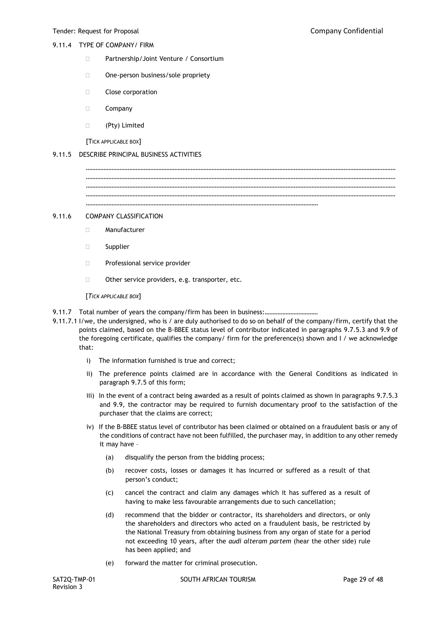# 9.11.4 TYPE OF COMPANY/ FIRM

- □ Partnership/Joint Venture / Consortium
- □ One-person business/sole propriety
- **Close corporation**
- Company
- (Pty) Limited

[TICK APPLICABLE BOX]

#### 9.11.5 DESCRIBE PRINCIPAL BUSINESS ACTIVITIES

………………………………………………………………………………………………………………………………………………………………………… ………………………………………………………………………………………………………………………………………………………………………… ………………………………………………………………………………………………………………………………………………………………………… ………………………………………………………………………………………………………………………………

…………………………………………………………………………………………………………………………………………………………………………

#### 9.11.6 COMPANY CLASSIFICATION

- Manufacturer
- □ Supplier
- **Professional service provider**
- $\Box$  Other service providers, e.g. transporter, etc.

[*TICK APPLICABLE BOX*]

- 9.11.7 Total number of years the company/firm has been in business:.................................
- 9.11.7.1 I/we, the undersigned, who is / are duly authorised to do so on behalf of the company/firm, certify that the points claimed, based on the B-BBEE status level of contributor indicated in paragraphs 9.7.5.3 and 9.9 of the foregoing certificate, qualifies the company/ firm for the preference(s) shown and I / we acknowledge that:
	- i) The information furnished is true and correct;
	- ii) The preference points claimed are in accordance with the General Conditions as indicated in paragraph 9.7.5 of this form;
	- iii) In the event of a contract being awarded as a result of points claimed as shown in paragraphs 9.7.5.3 and 9.9, the contractor may be required to furnish documentary proof to the satisfaction of the purchaser that the claims are correct;
	- iv) If the B-BBEE status level of contributor has been claimed or obtained on a fraudulent basis or any of the conditions of contract have not been fulfilled, the purchaser may, in addition to any other remedy it may have –
		- (a) disqualify the person from the bidding process;
		- (b) recover costs, losses or damages it has incurred or suffered as a result of that person's conduct;
		- (c) cancel the contract and claim any damages which it has suffered as a result of having to make less favourable arrangements due to such cancellation;
		- (d) recommend that the bidder or contractor, its shareholders and directors, or only the shareholders and directors who acted on a fraudulent basis, be restricted by the National Treasury from obtaining business from any organ of state for a period not exceeding 10 years, after the *audi alteram partem* (hear the other side) rule has been applied; and
		- (e) forward the matter for criminal prosecution.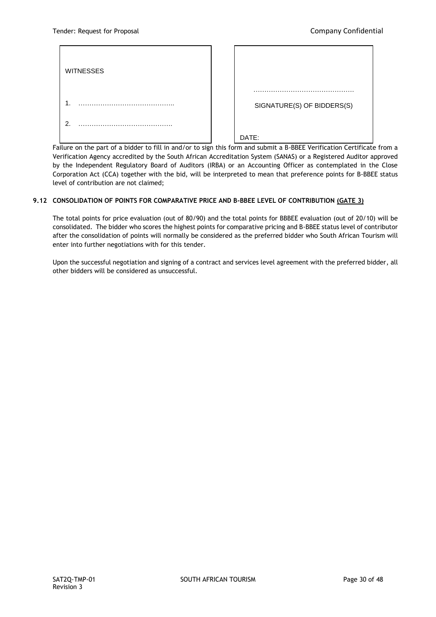| <b>WITNESSES</b>        | .                          |
|-------------------------|----------------------------|
| . .                     | SIGNATURE(S) OF BIDDERS(S) |
| $\mathcal{P}$<br>.<br>. | DATE:                      |

Failure on the part of a bidder to fill in and/or to sign this form and submit a B-BBEE Verification Certificate from a Verification Agency accredited by the South African Accreditation System (SANAS) or a Registered Auditor approved<br>. by the Independent Regulatory Board of Auditors (IRBA) or an Accounting Officer as contemplated in the Close Corporation Act (CCA) together with the bid, will be interpreted to mean that preference points for B-BBEE status level of contribution are not claimed;

# **9.12 CONSOLIDATION OF POINTS FOR COMPARATIVE PRICE AND B-BBEE LEVEL OF CONTRIBUTION (GATE 3)** ……………………………

The total points for price evaluation (out of 80/90) and the total points for BBBEE evaluation (out of 20/10) will be consolidated. The bidder who scores the highest points for comparative pricing and B-BBEE status level of contributor after the consolidation of points will normally be considered as the preferred bidder who South African Tourism will enter into further negotiations with for this tender. ……..

Upon the successful negotiation and signing of a contract and services level agreement with the preferred bidder, all other bidders will be considered as unsuccessful.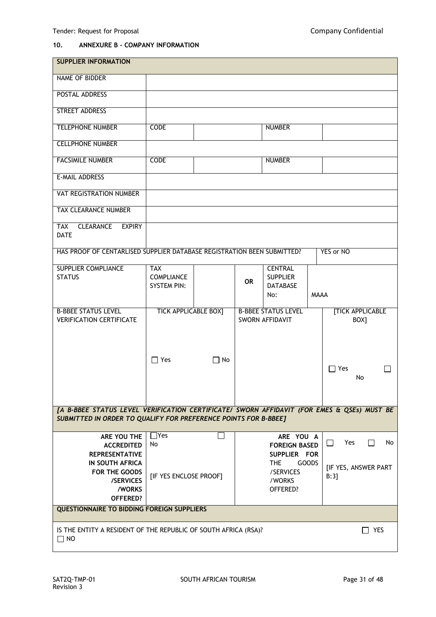# **10. ANNEXURE B - COMPANY INFORMATION**

| <b>SUPPLIER INFORMATION</b>                                                                |                             |           |           |                            |             |                                     |
|--------------------------------------------------------------------------------------------|-----------------------------|-----------|-----------|----------------------------|-------------|-------------------------------------|
| NAME OF BIDDER                                                                             |                             |           |           |                            |             |                                     |
| <b>POSTAL ADDRESS</b>                                                                      |                             |           |           |                            |             |                                     |
| <b>STREET ADDRESS</b>                                                                      |                             |           |           |                            |             |                                     |
| <b>TELEPHONE NUMBER</b>                                                                    | <b>CODE</b>                 |           |           | <b>NUMBER</b>              |             |                                     |
| <b>CELLPHONE NUMBER</b>                                                                    |                             |           |           |                            |             |                                     |
| <b>FACSIMILE NUMBER</b>                                                                    | <b>CODE</b>                 |           |           | <b>NUMBER</b>              |             |                                     |
| E-MAIL ADDRESS                                                                             |                             |           |           |                            |             |                                     |
| VAT REGISTRATION NUMBER                                                                    |                             |           |           |                            |             |                                     |
| <b>TAX CLEARANCE NUMBER</b>                                                                |                             |           |           |                            |             |                                     |
| <b>CLEARANCE</b><br><b>EXPIRY</b><br><b>TAX</b><br><b>DATE</b>                             |                             |           |           |                            |             |                                     |
| HAS PROOF OF CENTARLISED SUPPLIER DATABASE REGISTRATION BEEN SUBMITTED?                    |                             |           |           |                            |             | YES or NO                           |
| <b>SUPPLIER COMPLIANCE</b>                                                                 | <b>TAX</b>                  |           |           | <b>CENTRAL</b>             |             |                                     |
| <b>STATUS</b>                                                                              | <b>COMPLIANCE</b>           |           |           | <b>SUPPLIER</b>            |             |                                     |
|                                                                                            | <b>SYSTEM PIN:</b>          |           | <b>OR</b> | <b>DATABASE</b>            |             |                                     |
|                                                                                            |                             |           |           | No:                        | <b>MAAA</b> |                                     |
|                                                                                            |                             |           |           |                            |             |                                     |
| <b>B-BBEE STATUS LEVEL</b>                                                                 | <b>TICK APPLICABLE BOX]</b> |           |           | <b>B-BBEE STATUS LEVEL</b> |             | <b>[TICK APPLICABLE</b>             |
| <b>VERIFICATION CERTIFICATE</b>                                                            |                             |           |           | SWORN AFFIDAVIT            |             | BOX]                                |
|                                                                                            |                             |           |           |                            |             |                                     |
|                                                                                            |                             |           |           |                            |             |                                     |
|                                                                                            |                             |           |           |                            |             |                                     |
|                                                                                            | $\Box$ Yes                  | $\Box$ No |           |                            |             |                                     |
|                                                                                            |                             |           |           |                            |             | $\Box$ Yes                          |
|                                                                                            |                             |           |           |                            |             | No                                  |
|                                                                                            |                             |           |           |                            |             |                                     |
|                                                                                            |                             |           |           |                            |             |                                     |
|                                                                                            |                             |           |           |                            |             |                                     |
| [A B-BBEE STATUS LEVEL VERIFICATION CERTIFICATE/ SWORN AFFIDAVIT (FOR EMES & QSEs) MUST BE |                             |           |           |                            |             |                                     |
| SUBMITTED IN ORDER TO QUALIFY FOR PREFERENCE POINTS FOR B-BBEE]                            |                             |           |           |                            |             |                                     |
| ARE YOU THE                                                                                | $\Box$ Yes                  |           |           | ARE YOU A                  |             |                                     |
|                                                                                            |                             |           |           |                            |             |                                     |
| <b>ACCREDITED</b>                                                                          | No                          |           |           | <b>FOREIGN BASED</b>       |             | Yes<br>$\Box$<br>$\mathsf{L}$<br>No |
| <b>REPRESENTATIVE</b>                                                                      |                             |           |           | SUPPLIER FOR               |             |                                     |
| <b>IN SOUTH AFRICA</b>                                                                     |                             |           |           | THE<br>GOODS               |             |                                     |
| FOR THE GOODS                                                                              |                             |           |           | /SERVICES                  |             | [IF YES, ANSWER PART                |
| /SERVICES                                                                                  | [IF YES ENCLOSE PROOF]      |           |           | /WORKS                     |             | B:3]                                |
| /WORKS                                                                                     |                             |           |           | OFFERED?                   |             |                                     |
| <b>OFFERED?</b>                                                                            |                             |           |           |                            |             |                                     |
| <b>QUESTIONNAIRE TO BIDDING FOREIGN SUPPLIERS</b>                                          |                             |           |           |                            |             |                                     |
|                                                                                            |                             |           |           |                            |             |                                     |
| IS THE ENTITY A RESIDENT OF THE REPUBLIC OF SOUTH AFRICA (RSA)?<br>$\Box$ NO               |                             |           |           |                            |             | YES                                 |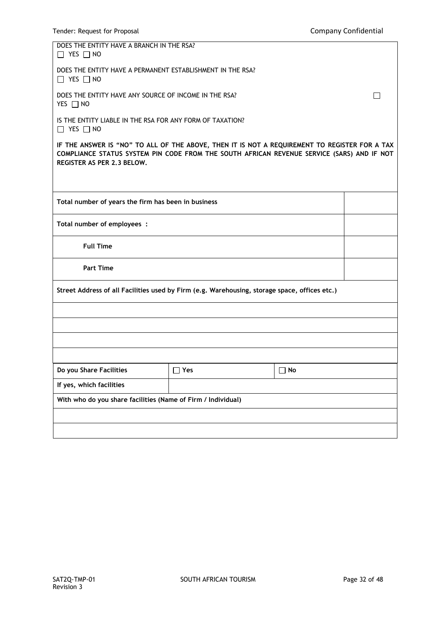| DOES THE ENTITY HAVE A BRANCH IN THE RSA?<br>$\Box$ YES $\Box$ NO                                                                                                                                                         |     |    |  |  |  |
|---------------------------------------------------------------------------------------------------------------------------------------------------------------------------------------------------------------------------|-----|----|--|--|--|
| DOES THE ENTITY HAVE A PERMANENT ESTABLISHMENT IN THE RSA?<br>$\Box$ YES $\Box$ NO                                                                                                                                        |     |    |  |  |  |
| DOES THE ENTITY HAVE ANY SOURCE OF INCOME IN THE RSA?<br>YES $\Box$ NO                                                                                                                                                    |     |    |  |  |  |
| IS THE ENTITY LIABLE IN THE RSA FOR ANY FORM OF TAXATION?<br>$\Box$ YES $\Box$ NO                                                                                                                                         |     |    |  |  |  |
| IF THE ANSWER IS "NO" TO ALL OF THE ABOVE, THEN IT IS NOT A REQUIREMENT TO REGISTER FOR A TAX<br>COMPLIANCE STATUS SYSTEM PIN CODE FROM THE SOUTH AFRICAN REVENUE SERVICE (SARS) AND IF NOT<br>REGISTER AS PER 2.3 BELOW. |     |    |  |  |  |
|                                                                                                                                                                                                                           |     |    |  |  |  |
| Total number of years the firm has been in business                                                                                                                                                                       |     |    |  |  |  |
| Total number of employees :                                                                                                                                                                                               |     |    |  |  |  |
| <b>Full Time</b>                                                                                                                                                                                                          |     |    |  |  |  |
| <b>Part Time</b>                                                                                                                                                                                                          |     |    |  |  |  |
| Street Address of all Facilities used by Firm (e.g. Warehousing, storage space, offices etc.)                                                                                                                             |     |    |  |  |  |
|                                                                                                                                                                                                                           |     |    |  |  |  |
|                                                                                                                                                                                                                           |     |    |  |  |  |
|                                                                                                                                                                                                                           |     |    |  |  |  |
|                                                                                                                                                                                                                           |     |    |  |  |  |
| Do you Share Facilities                                                                                                                                                                                                   | Yes | No |  |  |  |
| If yes, which facilities                                                                                                                                                                                                  |     |    |  |  |  |
| With who do you share facilities (Name of Firm / Individual)                                                                                                                                                              |     |    |  |  |  |
|                                                                                                                                                                                                                           |     |    |  |  |  |
|                                                                                                                                                                                                                           |     |    |  |  |  |
|                                                                                                                                                                                                                           |     |    |  |  |  |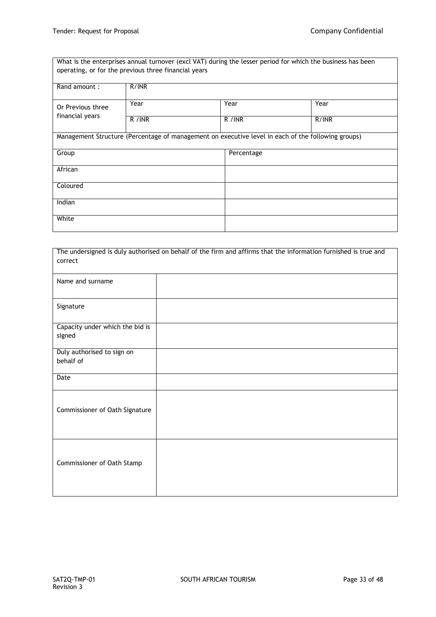What is the enterprises annual turnover (excl VAT) during the lesser period for which the business has been operating, or for the previous three financial years

| Rand amount:      | R/INR                                                                                              |            |       |  |
|-------------------|----------------------------------------------------------------------------------------------------|------------|-------|--|
| Or Previous three | Year                                                                                               | Year       | Year  |  |
| financial years   | R / INR                                                                                            | R / INR    | R/INR |  |
|                   | Management Structure (Percentage of management on executive level in each of the following groups) |            |       |  |
| Group             |                                                                                                    | Percentage |       |  |
| African           |                                                                                                    |            |       |  |
| Coloured          |                                                                                                    |            |       |  |
| Indian            |                                                                                                    |            |       |  |
| White             |                                                                                                    |            |       |  |

| The undersigned is duly authorised on behalf of the firm and affirms that the information furnished is true and |  |  |  |  |
|-----------------------------------------------------------------------------------------------------------------|--|--|--|--|
| correct                                                                                                         |  |  |  |  |
| Name and surname                                                                                                |  |  |  |  |
| Signature                                                                                                       |  |  |  |  |
| Capacity under which the bid is<br>signed                                                                       |  |  |  |  |
| Duly authorised to sign on<br>behalf of                                                                         |  |  |  |  |
| Date                                                                                                            |  |  |  |  |
| Commissioner of Oath Signature                                                                                  |  |  |  |  |
| Commissioner of Oath Stamp                                                                                      |  |  |  |  |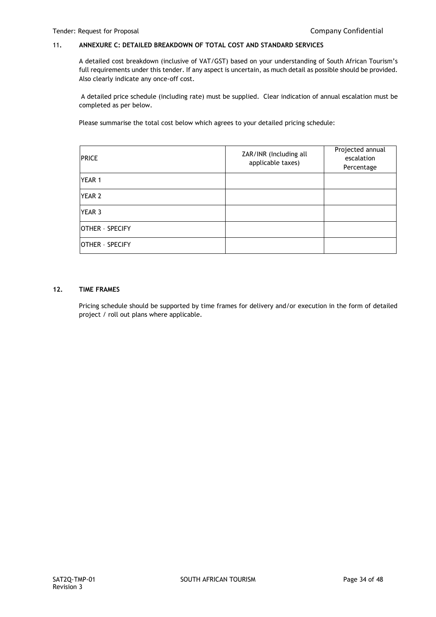# 11**. ANNEXURE C: DETAILED BREAKDOWN OF TOTAL COST AND STANDARD SERVICES**

A detailed cost breakdown (inclusive of VAT/GST) based on your understanding of South African Tourism's full requirements under this tender. If any aspect is uncertain, as much detail as possible should be provided. Also clearly indicate any once-off cost.

A detailed price schedule (including rate) must be supplied. Clear indication of annual escalation must be completed as per below.

Please summarise the total cost below which agrees to your detailed pricing schedule:

| <b>PRICE</b>    | ZAR/INR (Including all<br>applicable taxes) | Projected annual<br>escalation<br>Percentage |
|-----------------|---------------------------------------------|----------------------------------------------|
| YEAR 1          |                                             |                                              |
| <b>YEAR 2</b>   |                                             |                                              |
| YEAR 3          |                                             |                                              |
| OTHER - SPECIFY |                                             |                                              |
| OTHER - SPECIFY |                                             |                                              |

#### **12. TIME FRAMES**

Pricing schedule should be supported by time frames for delivery and/or execution in the form of detailed project / roll out plans where applicable.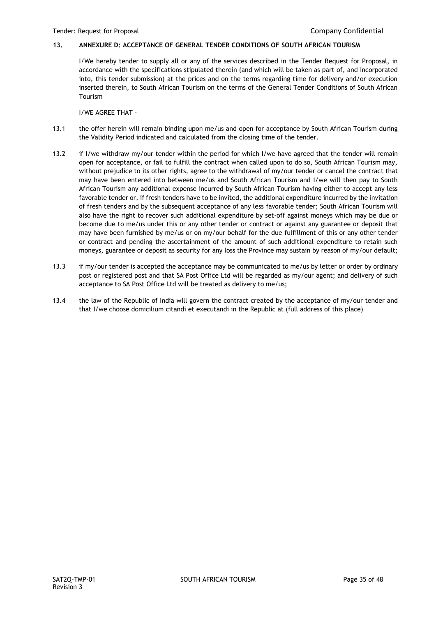# **13. ANNEXURE D: ACCEPTANCE OF GENERAL TENDER CONDITIONS OF SOUTH AFRICAN TOURISM**

I/We hereby tender to supply all or any of the services described in the Tender Request for Proposal, in accordance with the specifications stipulated therein (and which will be taken as part of, and incorporated into, this tender submission) at the prices and on the terms regarding time for delivery and/or execution inserted therein, to South African Tourism on the terms of the General Tender Conditions of South African Tourism

I/WE AGREE THAT -

- 13.1 the offer herein will remain binding upon me/us and open for acceptance by South African Tourism during the Validity Period indicated and calculated from the closing time of the tender.
- 13.2 if I/we withdraw my/our tender within the period for which I/we have agreed that the tender will remain open for acceptance, or fail to fulfill the contract when called upon to do so, South African Tourism may, without prejudice to its other rights, agree to the withdrawal of my/our tender or cancel the contract that may have been entered into between me/us and South African Tourism and I/we will then pay to South African Tourism any additional expense incurred by South African Tourism having either to accept any less favorable tender or, if fresh tenders have to be invited, the additional expenditure incurred by the invitation of fresh tenders and by the subsequent acceptance of any less favorable tender; South African Tourism will also have the right to recover such additional expenditure by set-off against moneys which may be due or become due to me/us under this or any other tender or contract or against any guarantee or deposit that may have been furnished by me/us or on my/our behalf for the due fulfillment of this or any other tender or contract and pending the ascertainment of the amount of such additional expenditure to retain such moneys, guarantee or deposit as security for any loss the Province may sustain by reason of my/our default;
- 13.3 if my/our tender is accepted the acceptance may be communicated to me/us by letter or order by ordinary post or registered post and that SA Post Office Ltd will be regarded as my/our agent; and delivery of such acceptance to SA Post Office Ltd will be treated as delivery to me/us;
- 13.4 the law of the Republic of India will govern the contract created by the acceptance of my/our tender and that I/we choose domicilium citandi et executandi in the Republic at (full address of this place)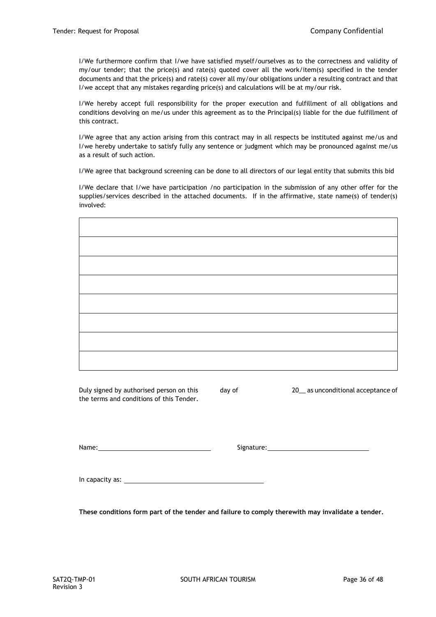I/We furthermore confirm that I/we have satisfied myself/ourselves as to the correctness and validity of my/our tender; that the price(s) and rate(s) quoted cover all the work/item(s) specified in the tender documents and that the price(s) and rate(s) cover all my/our obligations under a resulting contract and that I/we accept that any mistakes regarding price(s) and calculations will be at my/our risk.

I/We hereby accept full responsibility for the proper execution and fulfillment of all obligations and conditions devolving on me/us under this agreement as to the Principal(s) liable for the due fulfillment of this contract.

I/We agree that any action arising from this contract may in all respects be instituted against me/us and I/we hereby undertake to satisfy fully any sentence or judgment which may be pronounced against me/us as a result of such action.

I/We agree that background screening can be done to all directors of our legal entity that submits this bid

I/We declare that I/we have participation /no participation in the submission of any other offer for the supplies/services described in the attached documents. If in the affirmative, state name(s) of tender(s) involved:

Duly signed by authorised person on this day of 20 as unconditional acceptance of the terms and conditions of this Tender.

Name: Signature: Signature: Signature: Signature: Signature: Signature: Signature: Signature: Signature: Signature: Signature: Signature: Signature: Signature: Signature: Signature: Signature: Signature: Signature: Signatu

In capacity as:

**These conditions form part of the tender and failure to comply therewith may invalidate a tender.**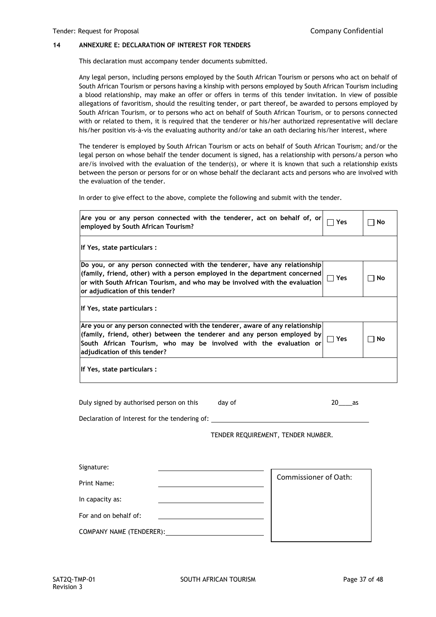#### **14 ANNEXURE E: DECLARATION OF INTEREST FOR TENDERS**

This declaration must accompany tender documents submitted.

Any legal person, including persons employed by the South African Tourism or persons who act on behalf of South African Tourism or persons having a kinship with persons employed by South African Tourism including a blood relationship, may make an offer or offers in terms of this tender invitation. In view of possible allegations of favoritism, should the resulting tender, or part thereof, be awarded to persons employed by South African Tourism, or to persons who act on behalf of South African Tourism, or to persons connected with or related to them, it is required that the tenderer or his/her authorized representative will declare his/her position vis-à-vis the evaluating authority and/or take an oath declaring his/her interest, where

The tenderer is employed by South African Tourism or acts on behalf of South African Tourism; and/or the legal person on whose behalf the tender document is signed, has a relationship with persons/a person who are/is involved with the evaluation of the tender(s), or where it is known that such a relationship exists between the person or persons for or on whose behalf the declarant acts and persons who are involved with the evaluation of the tender.

In order to give effect to the above, complete the following and submit with the tender.

| Are you or any person connected with the tenderer, act on behalf of, or<br>employed by South African Tourism?                                                                                                                                                           | Yes        | No |
|-------------------------------------------------------------------------------------------------------------------------------------------------------------------------------------------------------------------------------------------------------------------------|------------|----|
| If Yes, state particulars :                                                                                                                                                                                                                                             |            |    |
| Do you, or any person connected with the tenderer, have any relationship<br>(family, friend, other) with a person employed in the department concerned<br>or with South African Tourism, and who may be involved with the evaluation<br>or adjudication of this tender? | コ Yes      | No |
| If Yes, state particulars :                                                                                                                                                                                                                                             |            |    |
| Are you or any person connected with the tenderer, aware of any relationship<br>(family, friend, other) between the tenderer and any person employed by<br>South African Tourism, who may be involved with the evaluation or<br>adjudication of this tender?            | <b>Yes</b> | No |
| If Yes, state particulars :                                                                                                                                                                                                                                             |            |    |

Duly signed by authorised person on this day of 20 as

Declaration of Interest for the tendering of:

TENDER REQUIREMENT, TENDER NUMBER.

| <b>Commissioner of Oath:</b> |
|------------------------------|
|                              |
|                              |
|                              |
|                              |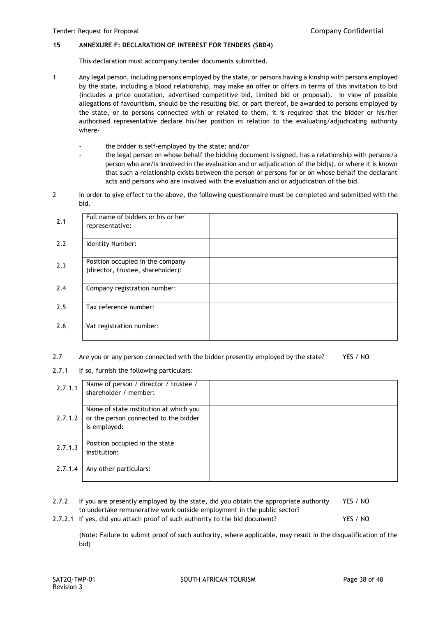#### **15 ANNEXURE F: DECLARATION OF INTEREST FOR TENDERS (SBD4)**

This declaration must accompany tender documents submitted.

- 1 Any legal person, including persons employed by the state, or persons having a kinship with persons employed by the state, including a blood relationship, may make an offer or offers in terms of this invitation to bid (includes a price quotation, advertised competitive bid, limited bid or proposal). In view of possible allegations of favouritism, should be the resulting bid, or part thereof, be awarded to persons employed by the state, or to persons connected with or related to them, it is required that the bidder or his/her authorised representative declare his/her position in relation to the evaluating/adjudicating authority where
	- the bidder is self-employed by the state; and/or
	- the legal person on whose behalf the bidding document is signed, has a relationship with persons/a person who are/is involved in the evaluation and or adjudication of the bid(s), or where it is known that such a relationship exists between the person or persons for or on whose behalf the declarant acts and persons who are involved with the evaluation and or adjudication of the bid.
- 2 In order to give effect to the above, the following questionnaire must be completed and submitted with the bid.

| 2.1 | Full name of bidders or his or her<br>representative:                 |  |
|-----|-----------------------------------------------------------------------|--|
| 2.2 | Identity Number:                                                      |  |
| 2.3 | Position occupied in the company<br>(director, trustee, shareholder): |  |
| 2.4 | Company registration number:                                          |  |
| 2.5 | Tax reference number:                                                 |  |
| 2.6 | Vat registration number:                                              |  |

- 2.7 Are you or any person connected with the bidder presently employed by the state? YES / NO
- 2.7.1 If so, furnish the following particulars:

| 2.7.1.1 | Name of person / director / trustee /<br>shareholder / member:                                  |  |
|---------|-------------------------------------------------------------------------------------------------|--|
| 2.7.1.2 | Name of state institution at which you<br>or the person connected to the bidder<br>is employed: |  |
| 2.7.1.3 | Position occupied in the state<br>institution:                                                  |  |
| 2.7.1.4 | Any other particulars:                                                                          |  |

| 2.7.2 | If you are presently employed by the state, did you obtain the appropriate authority | YES / NO |
|-------|--------------------------------------------------------------------------------------|----------|
|       | to undertake remunerative work outside employment in the public sector?              |          |
|       | 2.7.2.1 If yes, did you attach proof of such authority to the bid document?          | YES / NO |

(Note: Failure to submit proof of such authority, where applicable, may result in the disqualification of the bid)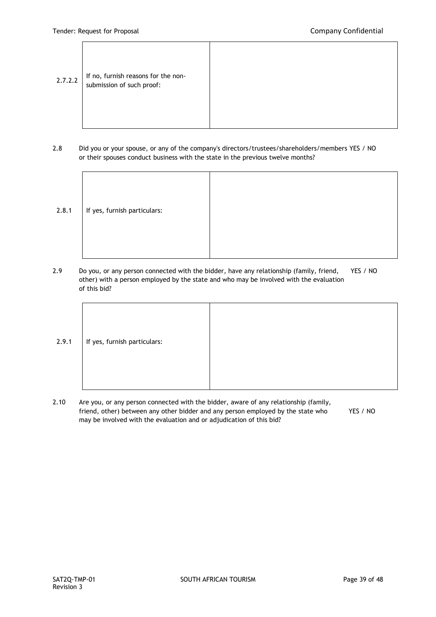- $2.7.2.2$  If no, furnish reasons for the nonsubmission of such proof:
- 2.8 Did you or your spouse, or any of the company's directors/trustees/shareholders/members YES / NO or their spouses conduct business with the state in the previous twelve months?

| 2.8.1 | If yes, furnish particulars: |  |
|-------|------------------------------|--|
|       |                              |  |
|       |                              |  |
|       |                              |  |
|       |                              |  |
|       |                              |  |
|       |                              |  |

2.9 Do you, or any person connected with the bidder, have any relationship (family, friend, YES / NO other) with a person employed by the state and who may be involved with the evaluation of this bid?



2.10 Are you, or any person connected with the bidder, aware of any relationship (family, friend, other) between any other bidder and any person employed by the state who YES / NO may be involved with the evaluation and or adjudication of this bid?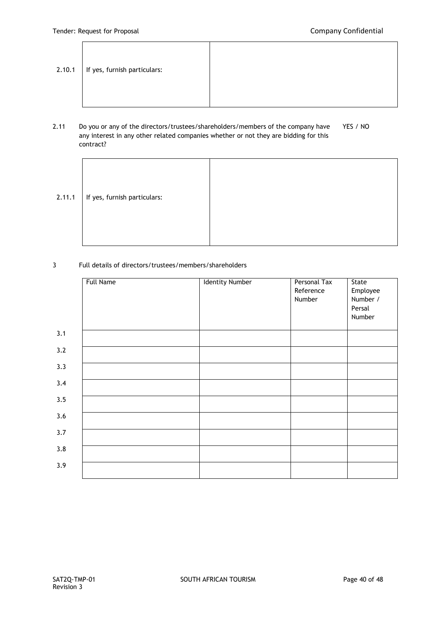.

| 2.10.1 | If yes, furnish particulars: |  |
|--------|------------------------------|--|
|--------|------------------------------|--|

# 2.11 Do you or any of the directors/trustees/shareholders/members of the company have YES / NO any interest in any other related companies whether or not they are bidding for this contract?

| 2.11.1 | If yes, furnish particulars: |  |
|--------|------------------------------|--|
|        |                              |  |

# 3 Full details of directors/trustees/members/shareholders

|     | <b>Full Name</b> | <b>Identity Number</b> | Personal Tax<br>Reference<br>Number | State<br>Employee<br>Number / |
|-----|------------------|------------------------|-------------------------------------|-------------------------------|
|     |                  |                        |                                     | Persal<br>Number              |
| 3.1 |                  |                        |                                     |                               |
| 3.2 |                  |                        |                                     |                               |
| 3.3 |                  |                        |                                     |                               |
| 3.4 |                  |                        |                                     |                               |
| 3.5 |                  |                        |                                     |                               |
| 3.6 |                  |                        |                                     |                               |
| 3.7 |                  |                        |                                     |                               |
| 3.8 |                  |                        |                                     |                               |
| 3.9 |                  |                        |                                     |                               |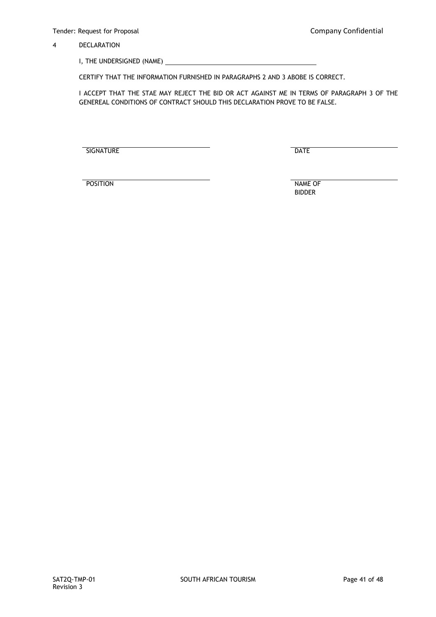# 4 DECLARATION

I, THE UNDERSIGNED (NAME) \_

CERTIFY THAT THE INFORMATION FURNISHED IN PARAGRAPHS 2 AND 3 ABOBE IS CORRECT.

I ACCEPT THAT THE STAE MAY REJECT THE BID OR ACT AGAINST ME IN TERMS OF PARAGRAPH 3 OF THE GENEREAL CONDITIONS OF CONTRACT SHOULD THIS DECLARATION PROVE TO BE FALSE.

SIGNATURE DATE

POSITION NAME OF

BIDDER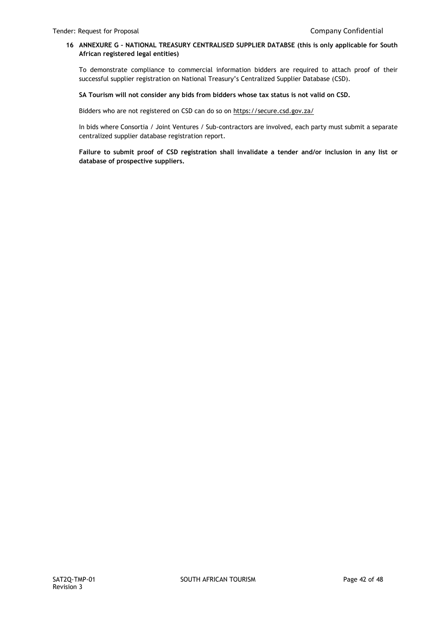# **16 ANNEXURE G – NATIONAL TREASURY CENTRALISED SUPPLIER DATABSE (this is only applicable for South African registered legal entities)**

To demonstrate compliance to commercial information bidders are required to attach proof of their successful supplier registration on National Treasury's Centralized Supplier Database (CSD).

#### **SA Tourism will not consider any bids from bidders whose tax status is not valid on CSD.**

Bidders who are not registered on CSD can do so on<https://secure.csd.gov.za/>

In bids where Consortia / Joint Ventures / Sub-contractors are involved, each party must submit a separate centralized supplier database registration report.

**Failure to submit proof of CSD registration shall invalidate a tender and/or inclusion in any list or database of prospective suppliers.**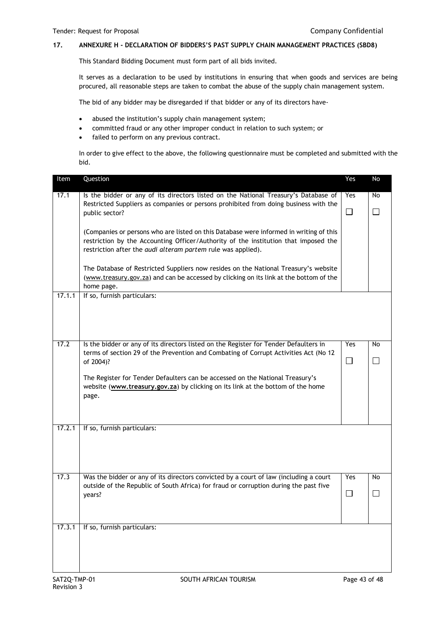# **17. ANNEXURE H - DECLARATION OF BIDDERS'S PAST SUPPLY CHAIN MANAGEMENT PRACTICES (SBD8)**

This Standard Bidding Document must form part of all bids invited.

It serves as a declaration to be used by institutions in ensuring that when goods and services are being procured, all reasonable steps are taken to combat the abuse of the supply chain management system.

The bid of any bidder may be disregarded if that bidder or any of its directors have-

- abused the institution's supply chain management system;
- committed fraud or any other improper conduct in relation to such system; or
- failed to perform on any previous contract.

In order to give effect to the above, the following questionnaire must be completed and submitted with the bid.

| Item   | Question                                                                                                                                                                                                                                      | Yes    | No     |
|--------|-----------------------------------------------------------------------------------------------------------------------------------------------------------------------------------------------------------------------------------------------|--------|--------|
| 17.1   | Is the bidder or any of its directors listed on the National Treasury's Database of<br>Restricted Suppliers as companies or persons prohibited from doing business with the                                                                   | Yes    | No     |
|        | public sector?                                                                                                                                                                                                                                | $\Box$ | $\Box$ |
|        | (Companies or persons who are listed on this Database were informed in writing of this<br>restriction by the Accounting Officer/Authority of the institution that imposed the<br>restriction after the audi alteram partem rule was applied). |        |        |
|        | The Database of Restricted Suppliers now resides on the National Treasury's website<br>(www.treasury.gov.za) and can be accessed by clicking on its link at the bottom of the<br>home page.                                                   |        |        |
| 17.1.1 | If so, furnish particulars:                                                                                                                                                                                                                   |        |        |
|        |                                                                                                                                                                                                                                               |        |        |
| 17.2   | Is the bidder or any of its directors listed on the Register for Tender Defaulters in<br>terms of section 29 of the Prevention and Combating of Corrupt Activities Act (No 12                                                                 | Yes    | No     |
|        | of 2004)?                                                                                                                                                                                                                                     | $\Box$ | └      |
|        | The Register for Tender Defaulters can be accessed on the National Treasury's<br>website (www.treasury.gov.za) by clicking on its link at the bottom of the home<br>page.                                                                     |        |        |
| 17.2.1 | If so, furnish particulars:                                                                                                                                                                                                                   |        |        |
|        |                                                                                                                                                                                                                                               |        |        |
| 17.3   | Was the bidder or any of its directors convicted by a court of law (including a court<br>outside of the Republic of South Africa) for fraud or corruption during the past five                                                                | Yes    | No     |
|        | years?                                                                                                                                                                                                                                        | П      |        |
| 17.3.1 | If so, furnish particulars:                                                                                                                                                                                                                   |        |        |
|        |                                                                                                                                                                                                                                               |        |        |
|        |                                                                                                                                                                                                                                               |        |        |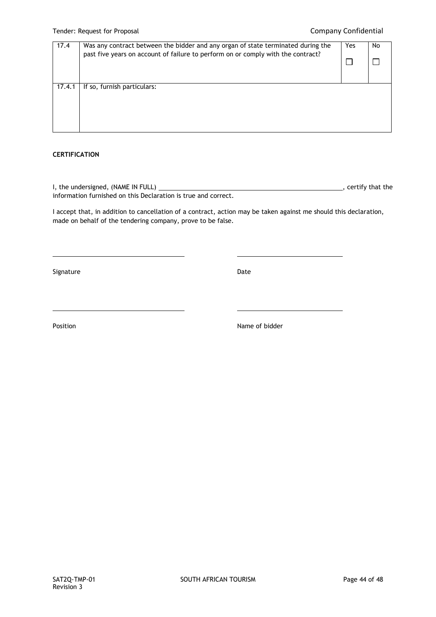| 17.4   | Was any contract between the bidder and any organ of state terminated during the<br>past five years on account of failure to perform on or comply with the contract? | Yes | No |
|--------|----------------------------------------------------------------------------------------------------------------------------------------------------------------------|-----|----|
| 17.4.1 | If so, furnish particulars:                                                                                                                                          |     |    |

# **CERTIFICATION**

I, the undersigned, (NAME IN FULL)  $\overline{\phantom{a}}$  = 0.000  $\overline{\phantom{a}}$  = 0.000  $\overline{\phantom{a}}$  , certify that the information furnished on this Declaration is true and correct.

I accept that, in addition to cancellation of a contract, action may be taken against me should this declaration, made on behalf of the tendering company, prove to be false.

Signature Date Date Date Date Date Date

Position **Name of bidder**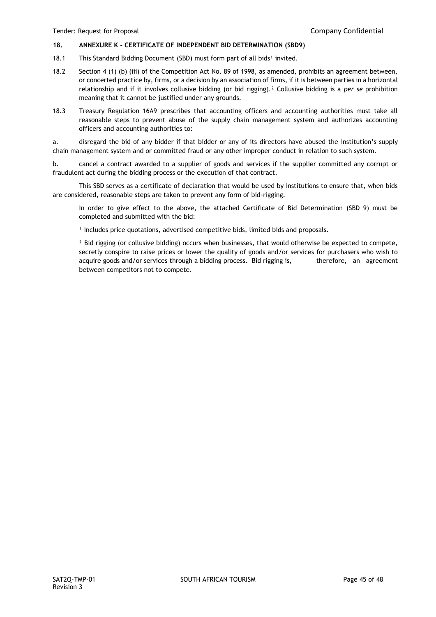# **18. ANNEXURE K - CERTIFICATE OF INDEPENDENT BID DETERMINATION (SBD9)**

- 18.1 This Standard Bidding Document (SBD) must form part of all bids<sup>1</sup> invited.
- 18.2 Section 4 (1) (b) (iii) of the Competition Act No. 89 of 1998, as amended, prohibits an agreement between, or concerted practice by, firms, or a decision by an association of firms, if it is between parties in a horizontal relationship and if it involves collusive bidding (or bid rigging).² Collusive bidding is a *per se* prohibition meaning that it cannot be justified under any grounds.
- 18.3 Treasury Regulation 16A9 prescribes that accounting officers and accounting authorities must take all reasonable steps to prevent abuse of the supply chain management system and authorizes accounting officers and accounting authorities to:

a. disregard the bid of any bidder if that bidder or any of its directors have abused the institution's supply chain management system and or committed fraud or any other improper conduct in relation to such system.

b. cancel a contract awarded to a supplier of goods and services if the supplier committed any corrupt or fraudulent act during the bidding process or the execution of that contract.

This SBD serves as a certificate of declaration that would be used by institutions to ensure that, when bids are considered, reasonable steps are taken to prevent any form of bid-rigging.

In order to give effect to the above, the attached Certificate of Bid Determination (SBD 9) must be completed and submitted with the bid:

<sup>1</sup> Includes price quotations, advertised competitive bids, limited bids and proposals.

<sup>2</sup> Bid rigging (or collusive bidding) occurs when businesses, that would otherwise be expected to compete, secretly conspire to raise prices or lower the quality of goods and/or services for purchasers who wish to acquire goods and/or services through a bidding process. Bid rigging is, therefore, an agreement between competitors not to compete.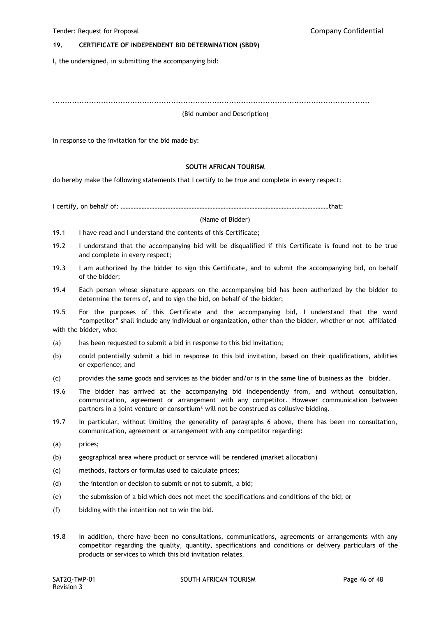#### **19. CERTIFICATE OF INDEPENDENT BID DETERMINATION (SBD9)**

I, the undersigned, in submitting the accompanying bid:

...................................................................................................................................

#### (Bid number and Description)

in response to the invitation for the bid made by:

#### **SOUTH AFRICAN TOURISM**

do hereby make the following statements that I certify to be true and complete in every respect:

I certify, on behalf of: …………………………………………………………………………………………………………………that:

#### (Name of Bidder)

- 19.1 I have read and I understand the contents of this Certificate;
- 19.2 I understand that the accompanying bid will be disqualified if this Certificate is found not to be true and complete in every respect;
- 19.3 I am authorized by the bidder to sign this Certificate, and to submit the accompanying bid, on behalf of the bidder;
- 19.4 Each person whose signature appears on the accompanying bid has been authorized by the bidder to determine the terms of, and to sign the bid, on behalf of the bidder;

19.5 For the purposes of this Certificate and the accompanying bid, I understand that the word "competitor" shall include any individual or organization, other than the bidder, whether or not affiliated with the bidder, who:

- (a) has been requested to submit a bid in response to this bid invitation;
- (b) could potentially submit a bid in response to this bid invitation, based on their qualifications, abilities or experience; and
- (c) provides the same goods and services as the bidder and/or is in the same line of business as the bidder.
- 19.6 The bidder has arrived at the accompanying bid independently from, and without consultation, communication, agreement or arrangement with any competitor. However communication between partners in a joint venture or consortium<sup>3</sup> will not be construed as collusive bidding.
- 19.7 In particular, without limiting the generality of paragraphs 6 above, there has been no consultation, communication, agreement or arrangement with any competitor regarding:
- (a) prices;
- (b) geographical area where product or service will be rendered (market allocation)
- (c) methods, factors or formulas used to calculate prices;
- (d) the intention or decision to submit or not to submit, a bid;
- (e) the submission of a bid which does not meet the specifications and conditions of the bid; or
- (f) bidding with the intention not to win the bid.
- 19.8 In addition, there have been no consultations, communications, agreements or arrangements with any competitor regarding the quality, quantity, specifications and conditions or delivery particulars of the products or services to which this bid invitation relates.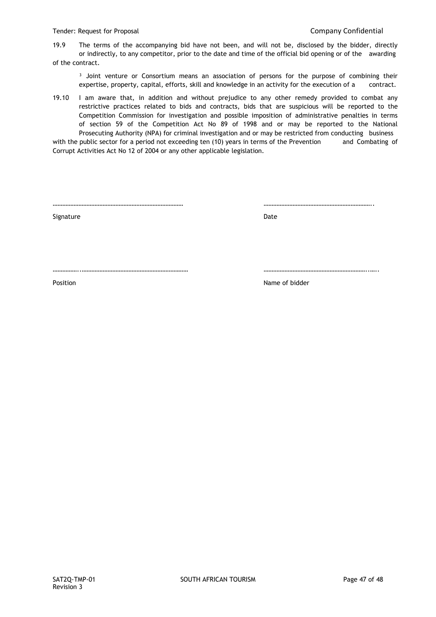19.9 The terms of the accompanying bid have not been, and will not be, disclosed by the bidder, directly or indirectly, to any competitor, prior to the date and time of the official bid opening or of the awarding of the contract.

<sup>3</sup> Joint venture or Consortium means an association of persons for the purpose of combining their expertise, property, capital, efforts, skill and knowledge in an activity for the execution of a contract.

19.10 I am aware that, in addition and without prejudice to any other remedy provided to combat any restrictive practices related to bids and contracts, bids that are suspicious will be reported to the Competition Commission for investigation and possible imposition of administrative penalties in terms of section 59 of the Competition Act No 89 of 1998 and or may be reported to the National Prosecuting Authority (NPA) for criminal investigation and or may be restricted from conducting business

with the public sector for a period not exceeding ten (10) years in terms of the Prevention and Combating of Corrupt Activities Act No 12 of 2004 or any other applicable legislation.

……………………………………………………………………… …………………………………………………………..

Signature Date

……………..………………………………………………………… ………………………………………………………..…..

**Position** Name of bidder